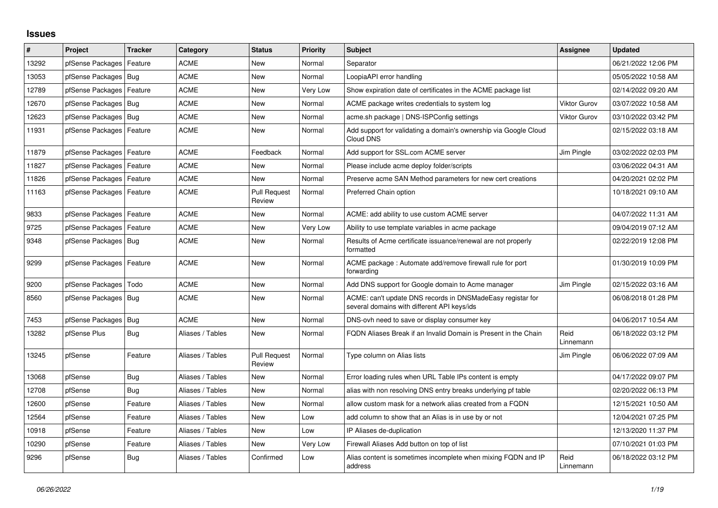## **Issues**

| #     | Project                    | <b>Tracker</b> | Category         | <b>Status</b>                 | <b>Priority</b> | <b>Subject</b>                                                                                            | <b>Assignee</b>     | <b>Updated</b>      |
|-------|----------------------------|----------------|------------------|-------------------------------|-----------------|-----------------------------------------------------------------------------------------------------------|---------------------|---------------------|
| 13292 | pfSense Packages           | Feature        | <b>ACME</b>      | <b>New</b>                    | Normal          | Separator                                                                                                 |                     | 06/21/2022 12:06 PM |
| 13053 | pfSense Packages   Bug     |                | <b>ACME</b>      | <b>New</b>                    | Normal          | LoopiaAPI error handling                                                                                  |                     | 05/05/2022 10:58 AM |
| 12789 | pfSense Packages           | Feature        | ACME             | New                           | Very Low        | Show expiration date of certificates in the ACME package list                                             |                     | 02/14/2022 09:20 AM |
| 12670 | pfSense Packages           | Bug            | <b>ACME</b>      | <b>New</b>                    | Normal          | ACME package writes credentials to system log                                                             | <b>Viktor Gurov</b> | 03/07/2022 10:58 AM |
| 12623 | pfSense Packages   Bug     |                | <b>ACME</b>      | <b>New</b>                    | Normal          | acme.sh package   DNS-ISPConfig settings                                                                  | <b>Viktor Gurov</b> | 03/10/2022 03:42 PM |
| 11931 | pfSense Packages           | Feature        | ACME             | <b>New</b>                    | Normal          | Add support for validating a domain's ownership via Google Cloud<br>Cloud DNS                             |                     | 02/15/2022 03:18 AM |
| 11879 | pfSense Packages   Feature |                | <b>ACME</b>      | Feedback                      | Normal          | Add support for SSL.com ACME server                                                                       | Jim Pingle          | 03/02/2022 02:03 PM |
| 11827 | pfSense Packages           | Feature        | <b>ACME</b>      | <b>New</b>                    | Normal          | Please include acme deploy folder/scripts                                                                 |                     | 03/06/2022 04:31 AM |
| 11826 | pfSense Packages           | Feature        | <b>ACME</b>      | <b>New</b>                    | Normal          | Preserve acme SAN Method parameters for new cert creations                                                |                     | 04/20/2021 02:02 PM |
| 11163 | pfSense Packages   Feature |                | ACME             | <b>Pull Request</b><br>Review | Normal          | Preferred Chain option                                                                                    |                     | 10/18/2021 09:10 AM |
| 9833  | pfSense Packages   Feature |                | <b>ACME</b>      | <b>New</b>                    | Normal          | ACME: add ability to use custom ACME server                                                               |                     | 04/07/2022 11:31 AM |
| 9725  | pfSense Packages           | Feature        | ACME             | <b>New</b>                    | Very Low        | Ability to use template variables in acme package                                                         |                     | 09/04/2019 07:12 AM |
| 9348  | pfSense Packages   Bug     |                | <b>ACME</b>      | <b>New</b>                    | Normal          | Results of Acme certificate issuance/renewal are not properly<br>formatted                                |                     | 02/22/2019 12:08 PM |
| 9299  | pfSense Packages   Feature |                | <b>ACME</b>      | <b>New</b>                    | Normal          | ACME package: Automate add/remove firewall rule for port<br>forwarding                                    |                     | 01/30/2019 10:09 PM |
| 9200  | pfSense Packages           | Todo           | ACME             | <b>New</b>                    | Normal          | Add DNS support for Google domain to Acme manager                                                         | Jim Pingle          | 02/15/2022 03:16 AM |
| 8560  | pfSense Packages   Bug     |                | <b>ACME</b>      | New                           | Normal          | ACME: can't update DNS records in DNSMadeEasy registar for<br>several domains with different API keys/ids |                     | 06/08/2018 01:28 PM |
| 7453  | pfSense Packages   Bug     |                | <b>ACME</b>      | <b>New</b>                    | Normal          | DNS-ovh need to save or display consumer key                                                              |                     | 04/06/2017 10:54 AM |
| 13282 | pfSense Plus               | <b>Bug</b>     | Aliases / Tables | New                           | Normal          | FQDN Aliases Break if an Invalid Domain is Present in the Chain                                           | Reid<br>Linnemann   | 06/18/2022 03:12 PM |
| 13245 | pfSense                    | Feature        | Aliases / Tables | <b>Pull Request</b><br>Review | Normal          | Type column on Alias lists                                                                                | Jim Pingle          | 06/06/2022 07:09 AM |
| 13068 | pfSense                    | <b>Bug</b>     | Aliases / Tables | <b>New</b>                    | Normal          | Error loading rules when URL Table IPs content is empty                                                   |                     | 04/17/2022 09:07 PM |
| 12708 | pfSense                    | Bug            | Aliases / Tables | New                           | Normal          | alias with non resolving DNS entry breaks underlying pf table                                             |                     | 02/20/2022 06:13 PM |
| 12600 | pfSense                    | Feature        | Aliases / Tables | <b>New</b>                    | Normal          | allow custom mask for a network alias created from a FQDN                                                 |                     | 12/15/2021 10:50 AM |
| 12564 | pfSense                    | Feature        | Aliases / Tables | <b>New</b>                    | Low             | add column to show that an Alias is in use by or not                                                      |                     | 12/04/2021 07:25 PM |
| 10918 | pfSense                    | Feature        | Aliases / Tables | New                           | Low             | IP Aliases de-duplication                                                                                 |                     | 12/13/2020 11:37 PM |
| 10290 | pfSense                    | Feature        | Aliases / Tables | <b>New</b>                    | Very Low        | Firewall Aliases Add button on top of list                                                                |                     | 07/10/2021 01:03 PM |
| 9296  | pfSense                    | <b>Bug</b>     | Aliases / Tables | Confirmed                     | Low             | Alias content is sometimes incomplete when mixing FQDN and IP<br>address                                  | Reid<br>Linnemann   | 06/18/2022 03:12 PM |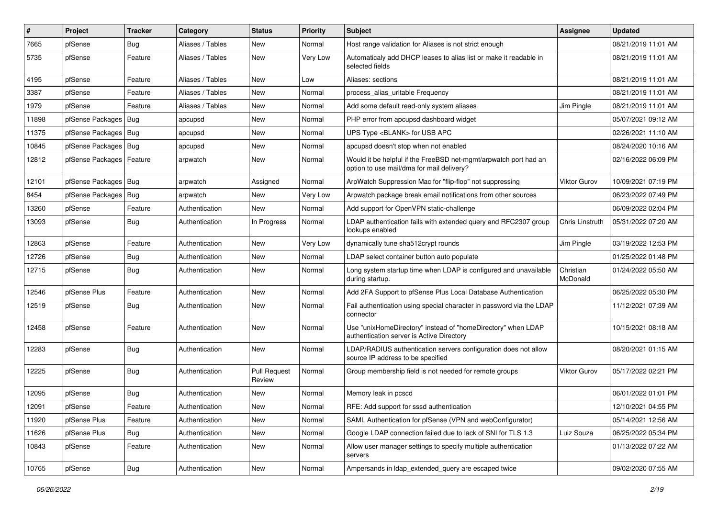| #     | Project                    | <b>Tracker</b> | Category         | <b>Status</b>                 | <b>Priority</b> | <b>Subject</b>                                                                                                | Assignee              | <b>Updated</b>      |
|-------|----------------------------|----------------|------------------|-------------------------------|-----------------|---------------------------------------------------------------------------------------------------------------|-----------------------|---------------------|
| 7665  | pfSense                    | Bug            | Aliases / Tables | New                           | Normal          | Host range validation for Aliases is not strict enough                                                        |                       | 08/21/2019 11:01 AM |
| 5735  | pfSense                    | Feature        | Aliases / Tables | New                           | Very Low        | Automaticaly add DHCP leases to alias list or make it readable in<br>selected fields                          |                       | 08/21/2019 11:01 AM |
| 4195  | pfSense                    | Feature        | Aliases / Tables | New                           | Low             | Aliases: sections                                                                                             |                       | 08/21/2019 11:01 AM |
| 3387  | pfSense                    | Feature        | Aliases / Tables | New                           | Normal          | process_alias_urltable Frequency                                                                              |                       | 08/21/2019 11:01 AM |
| 1979  | pfSense                    | Feature        | Aliases / Tables | New                           | Normal          | Add some default read-only system aliases                                                                     | Jim Pingle            | 08/21/2019 11:01 AM |
| 11898 | pfSense Packages   Bug     |                | apcupsd          | New                           | Normal          | PHP error from apcupsd dashboard widget                                                                       |                       | 05/07/2021 09:12 AM |
| 11375 | pfSense Packages   Bug     |                | apcupsd          | New                           | Normal          | UPS Type <blank> for USB APC</blank>                                                                          |                       | 02/26/2021 11:10 AM |
| 10845 | pfSense Packages   Bug     |                | apcupsd          | <b>New</b>                    | Normal          | apcupsd doesn't stop when not enabled                                                                         |                       | 08/24/2020 10:16 AM |
| 12812 | pfSense Packages   Feature |                | arpwatch         | New                           | Normal          | Would it be helpful if the FreeBSD net-mgmt/arpwatch port had an<br>option to use mail/dma for mail delivery? |                       | 02/16/2022 06:09 PM |
| 12101 | pfSense Packages   Bug     |                | arpwatch         | Assigned                      | Normal          | ArpWatch Suppression Mac for "flip-flop" not suppressing                                                      | Viktor Gurov          | 10/09/2021 07:19 PM |
| 8454  | pfSense Packages           | Bug            | arpwatch         | New                           | Very Low        | Arpwatch package break email notifications from other sources                                                 |                       | 06/23/2022 07:49 PM |
| 13260 | pfSense                    | Feature        | Authentication   | New                           | Normal          | Add support for OpenVPN static-challenge                                                                      |                       | 06/09/2022 02:04 PM |
| 13093 | pfSense                    | Bug            | Authentication   | In Progress                   | Normal          | LDAP authentication fails with extended query and RFC2307 group<br>lookups enabled                            | Chris Linstruth       | 05/31/2022 07:20 AM |
| 12863 | pfSense                    | Feature        | Authentication   | New                           | Very Low        | dynamically tune sha512crypt rounds                                                                           | Jim Pingle            | 03/19/2022 12:53 PM |
| 12726 | pfSense                    | <b>Bug</b>     | Authentication   | New                           | Normal          | LDAP select container button auto populate                                                                    |                       | 01/25/2022 01:48 PM |
| 12715 | pfSense                    | <b>Bug</b>     | Authentication   | New                           | Normal          | Long system startup time when LDAP is configured and unavailable<br>during startup.                           | Christian<br>McDonald | 01/24/2022 05:50 AM |
| 12546 | pfSense Plus               | Feature        | Authentication   | <b>New</b>                    | Normal          | Add 2FA Support to pfSense Plus Local Database Authentication                                                 |                       | 06/25/2022 05:30 PM |
| 12519 | pfSense                    | <b>Bug</b>     | Authentication   | New                           | Normal          | Fail authentication using special character in password via the LDAP<br>connector                             |                       | 11/12/2021 07:39 AM |
| 12458 | pfSense                    | Feature        | Authentication   | New                           | Normal          | Use "unixHomeDirectory" instead of "homeDirectory" when LDAP<br>authentication server is Active Directory     |                       | 10/15/2021 08:18 AM |
| 12283 | pfSense                    | <b>Bug</b>     | Authentication   | <b>New</b>                    | Normal          | LDAP/RADIUS authentication servers configuration does not allow<br>source IP address to be specified          |                       | 08/20/2021 01:15 AM |
| 12225 | pfSense                    | <b>Bug</b>     | Authentication   | <b>Pull Request</b><br>Review | Normal          | Group membership field is not needed for remote groups                                                        | <b>Viktor Gurov</b>   | 05/17/2022 02:21 PM |
| 12095 | pfSense                    | <b>Bug</b>     | Authentication   | New                           | Normal          | Memory leak in pcscd                                                                                          |                       | 06/01/2022 01:01 PM |
| 12091 | pfSense                    | Feature        | Authentication   | New                           | Normal          | RFE: Add support for sssd authentication                                                                      |                       | 12/10/2021 04:55 PM |
| 11920 | pfSense Plus               | Feature        | Authentication   | <b>New</b>                    | Normal          | SAML Authentication for pfSense (VPN and webConfigurator)                                                     |                       | 05/14/2021 12:56 AM |
| 11626 | pfSense Plus               | <b>Bug</b>     | Authentication   | New                           | Normal          | Google LDAP connection failed due to lack of SNI for TLS 1.3                                                  | Luiz Souza            | 06/25/2022 05:34 PM |
| 10843 | pfSense                    | Feature        | Authentication   | New                           | Normal          | Allow user manager settings to specify multiple authentication<br>servers                                     |                       | 01/13/2022 07:22 AM |
| 10765 | pfSense                    | <b>Bug</b>     | Authentication   | New                           | Normal          | Ampersands in Idap extended query are escaped twice                                                           |                       | 09/02/2020 07:55 AM |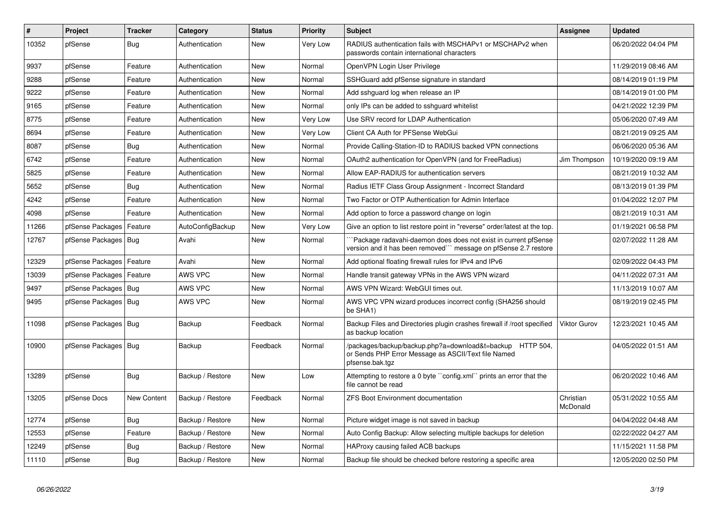| $\sharp$ | Project                | <b>Tracker</b> | Category         | <b>Status</b> | <b>Priority</b> | <b>Subject</b>                                                                                                                      | <b>Assignee</b>       | <b>Updated</b>      |
|----------|------------------------|----------------|------------------|---------------|-----------------|-------------------------------------------------------------------------------------------------------------------------------------|-----------------------|---------------------|
| 10352    | pfSense                | Bug            | Authentication   | <b>New</b>    | Very Low        | RADIUS authentication fails with MSCHAPv1 or MSCHAPv2 when<br>passwords contain international characters                            |                       | 06/20/2022 04:04 PM |
| 9937     | pfSense                | Feature        | Authentication   | <b>New</b>    | Normal          | OpenVPN Login User Privilege                                                                                                        |                       | 11/29/2019 08:46 AM |
| 9288     | pfSense                | Feature        | Authentication   | <b>New</b>    | Normal          | SSHGuard add pfSense signature in standard                                                                                          |                       | 08/14/2019 01:19 PM |
| 9222     | pfSense                | Feature        | Authentication   | <b>New</b>    | Normal          | Add sshguard log when release an IP                                                                                                 |                       | 08/14/2019 01:00 PM |
| 9165     | pfSense                | Feature        | Authentication   | <b>New</b>    | Normal          | only IPs can be added to sshguard whitelist                                                                                         |                       | 04/21/2022 12:39 PM |
| 8775     | pfSense                | Feature        | Authentication   | <b>New</b>    | Very Low        | Use SRV record for LDAP Authentication                                                                                              |                       | 05/06/2020 07:49 AM |
| 8694     | pfSense                | Feature        | Authentication   | <b>New</b>    | Very Low        | Client CA Auth for PFSense WebGui                                                                                                   |                       | 08/21/2019 09:25 AM |
| 8087     | pfSense                | <b>Bug</b>     | Authentication   | <b>New</b>    | Normal          | Provide Calling-Station-ID to RADIUS backed VPN connections                                                                         |                       | 06/06/2020 05:36 AM |
| 6742     | pfSense                | Feature        | Authentication   | <b>New</b>    | Normal          | OAuth2 authentication for OpenVPN (and for FreeRadius)                                                                              | Jim Thompson          | 10/19/2020 09:19 AM |
| 5825     | pfSense                | Feature        | Authentication   | <b>New</b>    | Normal          | Allow EAP-RADIUS for authentication servers                                                                                         |                       | 08/21/2019 10:32 AM |
| 5652     | pfSense                | <b>Bug</b>     | Authentication   | <b>New</b>    | Normal          | Radius IETF Class Group Assignment - Incorrect Standard                                                                             |                       | 08/13/2019 01:39 PM |
| 4242     | pfSense                | Feature        | Authentication   | <b>New</b>    | Normal          | Two Factor or OTP Authentication for Admin Interface                                                                                |                       | 01/04/2022 12:07 PM |
| 4098     | pfSense                | Feature        | Authentication   | <b>New</b>    | Normal          | Add option to force a password change on login                                                                                      |                       | 08/21/2019 10:31 AM |
| 11266    | pfSense Packages       | Feature        | AutoConfigBackup | <b>New</b>    | Very Low        | Give an option to list restore point in "reverse" order/latest at the top.                                                          |                       | 01/19/2021 06:58 PM |
| 12767    | pfSense Packages   Bug |                | Avahi            | New           | Normal          | Package radavahi-daemon does does not exist in current pfSense<br>version and it has been removed"" message on pfSense 2.7 restore  |                       | 02/07/2022 11:28 AM |
| 12329    | pfSense Packages       | Feature        | Avahi            | <b>New</b>    | Normal          | Add optional floating firewall rules for IPv4 and IPv6                                                                              |                       | 02/09/2022 04:43 PM |
| 13039    | pfSense Packages       | Feature        | AWS VPC          | <b>New</b>    | Normal          | Handle transit gateway VPNs in the AWS VPN wizard                                                                                   |                       | 04/11/2022 07:31 AM |
| 9497     | pfSense Packages   Bug |                | AWS VPC          | New           | Normal          | AWS VPN Wizard: WebGUI times out.                                                                                                   |                       | 11/13/2019 10:07 AM |
| 9495     | pfSense Packages   Bug |                | AWS VPC          | <b>New</b>    | Normal          | AWS VPC VPN wizard produces incorrect config (SHA256 should<br>be SHA1)                                                             |                       | 08/19/2019 02:45 PM |
| 11098    | pfSense Packages   Bug |                | Backup           | Feedback      | Normal          | Backup Files and Directories plugin crashes firewall if /root specified<br>as backup location                                       | <b>Viktor Gurov</b>   | 12/23/2021 10:45 AM |
| 10900    | pfSense Packages   Bug |                | Backup           | Feedback      | Normal          | /packages/backup/backup.php?a=download&t=backup HTTP 504,<br>or Sends PHP Error Message as ASCII/Text file Named<br>pfsense.bak.tgz |                       | 04/05/2022 01:51 AM |
| 13289    | pfSense                | <b>Bug</b>     | Backup / Restore | <b>New</b>    | Low             | Attempting to restore a 0 byte "config.xml" prints an error that the<br>file cannot be read                                         |                       | 06/20/2022 10:46 AM |
| 13205    | pfSense Docs           | New Content    | Backup / Restore | Feedback      | Normal          | <b>ZFS Boot Environment documentation</b>                                                                                           | Christian<br>McDonald | 05/31/2022 10:55 AM |
| 12774    | pfSense                | Bug            | Backup / Restore | <b>New</b>    | Normal          | Picture widget image is not saved in backup                                                                                         |                       | 04/04/2022 04:48 AM |
| 12553    | pfSense                | Feature        | Backup / Restore | <b>New</b>    | Normal          | Auto Config Backup: Allow selecting multiple backups for deletion                                                                   |                       | 02/22/2022 04:27 AM |
| 12249    | pfSense                | <b>Bug</b>     | Backup / Restore | <b>New</b>    | Normal          | HAProxy causing failed ACB backups                                                                                                  |                       | 11/15/2021 11:58 PM |
| 11110    | pfSense                | <b>Bug</b>     | Backup / Restore | <b>New</b>    | Normal          | Backup file should be checked before restoring a specific area                                                                      |                       | 12/05/2020 02:50 PM |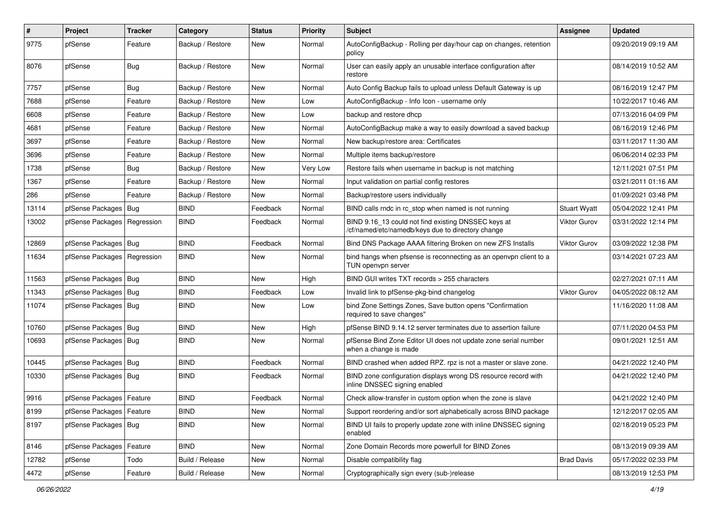| $\pmb{\#}$ | Project                       | <b>Tracker</b> | Category         | <b>Status</b> | Priority | <b>Subject</b>                                                                                           | <b>Assignee</b>     | <b>Updated</b>      |
|------------|-------------------------------|----------------|------------------|---------------|----------|----------------------------------------------------------------------------------------------------------|---------------------|---------------------|
| 9775       | pfSense                       | Feature        | Backup / Restore | New           | Normal   | AutoConfigBackup - Rolling per day/hour cap on changes, retention<br>policy                              |                     | 09/20/2019 09:19 AM |
| 8076       | pfSense                       | Bug            | Backup / Restore | New           | Normal   | User can easily apply an unusable interface configuration after<br>restore                               |                     | 08/14/2019 10:52 AM |
| 7757       | pfSense                       | <b>Bug</b>     | Backup / Restore | <b>New</b>    | Normal   | Auto Config Backup fails to upload unless Default Gateway is up                                          |                     | 08/16/2019 12:47 PM |
| 7688       | pfSense                       | Feature        | Backup / Restore | New           | Low      | AutoConfigBackup - Info Icon - username only                                                             |                     | 10/22/2017 10:46 AM |
| 6608       | pfSense                       | Feature        | Backup / Restore | New           | Low      | backup and restore dhcp                                                                                  |                     | 07/13/2016 04:09 PM |
| 4681       | pfSense                       | Feature        | Backup / Restore | <b>New</b>    | Normal   | AutoConfigBackup make a way to easily download a saved backup                                            |                     | 08/16/2019 12:46 PM |
| 3697       | pfSense                       | Feature        | Backup / Restore | New           | Normal   | New backup/restore area: Certificates                                                                    |                     | 03/11/2017 11:30 AM |
| 3696       | pfSense                       | Feature        | Backup / Restore | <b>New</b>    | Normal   | Multiple items backup/restore                                                                            |                     | 06/06/2014 02:33 PM |
| 1738       | pfSense                       | Bug            | Backup / Restore | New           | Very Low | Restore fails when username in backup is not matching                                                    |                     | 12/11/2021 07:51 PM |
| 1367       | pfSense                       | Feature        | Backup / Restore | New           | Normal   | Input validation on partial config restores                                                              |                     | 03/21/2011 01:16 AM |
| 286        | pfSense                       | Feature        | Backup / Restore | <b>New</b>    | Normal   | Backup/restore users individually                                                                        |                     | 01/09/2021 03:48 PM |
| 13114      | pfSense Packages              | Bug            | <b>BIND</b>      | Feedback      | Normal   | BIND calls rndc in rc_stop when named is not running                                                     | <b>Stuart Wyatt</b> | 05/04/2022 12:41 PM |
| 13002      | pfSense Packages   Regression |                | <b>BIND</b>      | Feedback      | Normal   | BIND 9.16_13 could not find existing DNSSEC keys at<br>/cf/named/etc/namedb/keys due to directory change | <b>Viktor Gurov</b> | 03/31/2022 12:14 PM |
| 12869      | pfSense Packages   Bug        |                | <b>BIND</b>      | Feedback      | Normal   | Bind DNS Package AAAA filtering Broken on new ZFS Installs                                               | Viktor Gurov        | 03/09/2022 12:38 PM |
| 11634      | pfSense Packages   Regression |                | <b>BIND</b>      | New           | Normal   | bind hangs when pfsense is reconnecting as an openypn client to a<br>TUN openvpn server                  |                     | 03/14/2021 07:23 AM |
| 11563      | pfSense Packages   Bug        |                | <b>BIND</b>      | <b>New</b>    | High     | BIND GUI writes TXT records > 255 characters                                                             |                     | 02/27/2021 07:11 AM |
| 11343      | pfSense Packages              | Bug            | <b>BIND</b>      | Feedback      | Low      | Invalid link to pfSense-pkg-bind changelog                                                               | Viktor Gurov        | 04/05/2022 08:12 AM |
| 11074      | pfSense Packages   Bug        |                | <b>BIND</b>      | New           | Low      | bind Zone Settings Zones, Save button opens "Confirmation<br>required to save changes"                   |                     | 11/16/2020 11:08 AM |
| 10760      | pfSense Packages   Bug        |                | <b>BIND</b>      | New           | High     | pfSense BIND 9.14.12 server terminates due to assertion failure                                          |                     | 07/11/2020 04:53 PM |
| 10693      | pfSense Packages   Bug        |                | <b>BIND</b>      | New           | Normal   | pfSense Bind Zone Editor UI does not update zone serial number<br>when a change is made                  |                     | 09/01/2021 12:51 AM |
| 10445      | pfSense Packages   Bug        |                | <b>BIND</b>      | Feedback      | Normal   | BIND crashed when added RPZ. rpz is not a master or slave zone.                                          |                     | 04/21/2022 12:40 PM |
| 10330      | pfSense Packages   Bug        |                | <b>BIND</b>      | Feedback      | Normal   | BIND zone configuration displays wrong DS resource record with<br>inline DNSSEC signing enabled          |                     | 04/21/2022 12:40 PM |
| 9916       | pfSense Packages   Feature    |                | BIND             | Feedback      | Normal   | Check allow-transfer in custom option when the zone is slave                                             |                     | 04/21/2022 12:40 PM |
| 8199       | pfSense Packages   Feature    |                | <b>BIND</b>      | New           | Normal   | Support reordering and/or sort alphabetically across BIND package                                        |                     | 12/12/2017 02:05 AM |
| 8197       | pfSense Packages   Bug        |                | <b>BIND</b>      | New           | Normal   | BIND UI fails to properly update zone with inline DNSSEC signing<br>enabled                              |                     | 02/18/2019 05:23 PM |
| 8146       | pfSense Packages              | Feature        | <b>BIND</b>      | New           | Normal   | Zone Domain Records more powerfull for BIND Zones                                                        |                     | 08/13/2019 09:39 AM |
| 12782      | pfSense                       | Todo           | Build / Release  | New           | Normal   | Disable compatibility flag                                                                               | <b>Brad Davis</b>   | 05/17/2022 02:33 PM |
| 4472       | pfSense                       | Feature        | Build / Release  | New           | Normal   | Cryptographically sign every (sub-)release                                                               |                     | 08/13/2019 12:53 PM |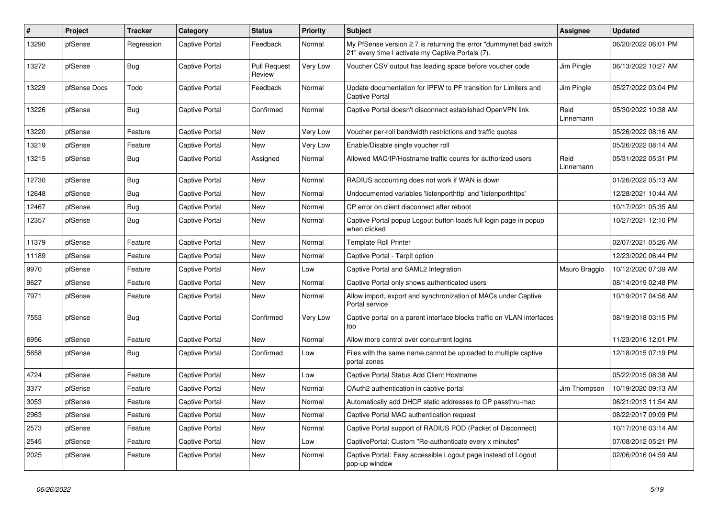| #     | Project      | <b>Tracker</b> | Category       | <b>Status</b>                 | <b>Priority</b> | <b>Subject</b>                                                                                                          | Assignee          | <b>Updated</b>      |
|-------|--------------|----------------|----------------|-------------------------------|-----------------|-------------------------------------------------------------------------------------------------------------------------|-------------------|---------------------|
| 13290 | pfSense      | Regression     | Captive Portal | Feedback                      | Normal          | My PfSense version 2.7 is returning the error "dummynet bad switch<br>21" every time I activate my Captive Portals (7). |                   | 06/20/2022 06:01 PM |
| 13272 | pfSense      | Bug            | Captive Portal | <b>Pull Request</b><br>Review | Very Low        | Voucher CSV output has leading space before voucher code                                                                | Jim Pingle        | 06/13/2022 10:27 AM |
| 13229 | pfSense Docs | Todo           | Captive Portal | Feedback                      | Normal          | Update documentation for IPFW to PF transition for Limiters and<br>Captive Portal                                       | Jim Pingle        | 05/27/2022 03:04 PM |
| 13226 | pfSense      | Bug            | Captive Portal | Confirmed                     | Normal          | Captive Portal doesn't disconnect established OpenVPN link                                                              | Reid<br>Linnemann | 05/30/2022 10:38 AM |
| 13220 | pfSense      | Feature        | Captive Portal | New                           | Very Low        | Voucher per-roll bandwidth restrictions and traffic quotas                                                              |                   | 05/26/2022 08:16 AM |
| 13219 | pfSense      | Feature        | Captive Portal | <b>New</b>                    | Very Low        | Enable/Disable single voucher roll                                                                                      |                   | 05/26/2022 08:14 AM |
| 13215 | pfSense      | <b>Bug</b>     | Captive Portal | Assigned                      | Normal          | Allowed MAC/IP/Hostname traffic counts for authorized users                                                             | Reid<br>Linnemann | 05/31/2022 05:31 PM |
| 12730 | pfSense      | <b>Bug</b>     | Captive Portal | <b>New</b>                    | Normal          | RADIUS accounting does not work if WAN is down                                                                          |                   | 01/26/2022 05:13 AM |
| 12648 | pfSense      | <b>Bug</b>     | Captive Portal | New                           | Normal          | Undocumented variables 'listenporthttp' and 'listenporthttps'                                                           |                   | 12/28/2021 10:44 AM |
| 12467 | pfSense      | Bug            | Captive Portal | <b>New</b>                    | Normal          | CP error on client disconnect after reboot                                                                              |                   | 10/17/2021 05:35 AM |
| 12357 | pfSense      | Bug            | Captive Portal | <b>New</b>                    | Normal          | Captive Portal popup Logout button loads full login page in popup<br>when clicked                                       |                   | 10/27/2021 12:10 PM |
| 11379 | pfSense      | Feature        | Captive Portal | <b>New</b>                    | Normal          | <b>Template Roll Printer</b>                                                                                            |                   | 02/07/2021 05:26 AM |
| 11189 | pfSense      | Feature        | Captive Portal | <b>New</b>                    | Normal          | Captive Portal - Tarpit option                                                                                          |                   | 12/23/2020 06:44 PM |
| 9970  | pfSense      | Feature        | Captive Portal | <b>New</b>                    | Low             | Captive Portal and SAML2 Integration                                                                                    | Mauro Braggio     | 10/12/2020 07:39 AM |
| 9627  | pfSense      | Feature        | Captive Portal | <b>New</b>                    | Normal          | Captive Portal only shows authenticated users                                                                           |                   | 08/14/2019 02:48 PM |
| 7971  | pfSense      | Feature        | Captive Portal | <b>New</b>                    | Normal          | Allow import, export and synchronization of MACs under Captive<br>Portal service                                        |                   | 10/19/2017 04:56 AM |
| 7553  | pfSense      | Bug            | Captive Portal | Confirmed                     | Very Low        | Captive portal on a parent interface blocks traffic on VLAN interfaces<br>too                                           |                   | 08/19/2018 03:15 PM |
| 6956  | pfSense      | Feature        | Captive Portal | <b>New</b>                    | Normal          | Allow more control over concurrent logins                                                                               |                   | 11/23/2016 12:01 PM |
| 5658  | pfSense      | Bug            | Captive Portal | Confirmed                     | Low             | Files with the same name cannot be uploaded to multiple captive<br>portal zones                                         |                   | 12/18/2015 07:19 PM |
| 4724  | pfSense      | Feature        | Captive Portal | <b>New</b>                    | Low             | Captive Portal Status Add Client Hostname                                                                               |                   | 05/22/2015 08:38 AM |
| 3377  | pfSense      | Feature        | Captive Portal | <b>New</b>                    | Normal          | OAuth2 authentication in captive portal                                                                                 | Jim Thompson      | 10/19/2020 09:13 AM |
| 3053  | pfSense      | Feature        | Captive Portal | <b>New</b>                    | Normal          | Automatically add DHCP static addresses to CP passthru-mac                                                              |                   | 06/21/2013 11:54 AM |
| 2963  | pfSense      | Feature        | Captive Portal | <b>New</b>                    | Normal          | Captive Portal MAC authentication request                                                                               |                   | 08/22/2017 09:09 PM |
| 2573  | pfSense      | Feature        | Captive Portal | <b>New</b>                    | Normal          | Captive Portal support of RADIUS POD (Packet of Disconnect)                                                             |                   | 10/17/2016 03:14 AM |
| 2545  | pfSense      | Feature        | Captive Portal | <b>New</b>                    | Low             | CaptivePortal: Custom "Re-authenticate every x minutes"                                                                 |                   | 07/08/2012 05:21 PM |
| 2025  | pfSense      | Feature        | Captive Portal | <b>New</b>                    | Normal          | Captive Portal: Easy accessible Logout page instead of Logout<br>pop-up window                                          |                   | 02/06/2016 04:59 AM |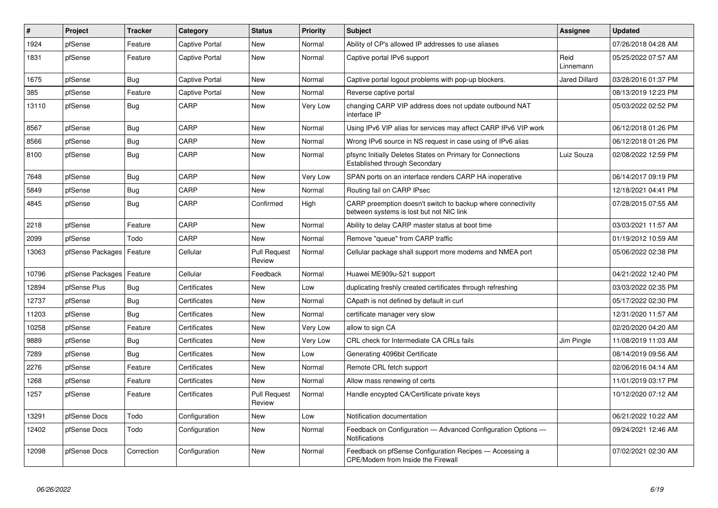| $\vert$ # | Project          | <b>Tracker</b> | Category              | <b>Status</b>                 | <b>Priority</b> | <b>Subject</b>                                                                                          | <b>Assignee</b>      | <b>Updated</b>      |
|-----------|------------------|----------------|-----------------------|-------------------------------|-----------------|---------------------------------------------------------------------------------------------------------|----------------------|---------------------|
| 1924      | pfSense          | Feature        | Captive Portal        | <b>New</b>                    | Normal          | Ability of CP's allowed IP addresses to use aliases                                                     |                      | 07/26/2018 04:28 AM |
| 1831      | pfSense          | Feature        | <b>Captive Portal</b> | <b>New</b>                    | Normal          | Captive portal IPv6 support                                                                             | Reid<br>Linnemann    | 05/25/2022 07:57 AM |
| 1675      | pfSense          | Bug            | Captive Portal        | New                           | Normal          | Captive portal logout problems with pop-up blockers.                                                    | <b>Jared Dillard</b> | 03/28/2016 01:37 PM |
| 385       | pfSense          | Feature        | Captive Portal        | <b>New</b>                    | Normal          | Reverse captive portal                                                                                  |                      | 08/13/2019 12:23 PM |
| 13110     | pfSense          | Bug            | CARP                  | <b>New</b>                    | Very Low        | changing CARP VIP address does not update outbound NAT<br>interface IP                                  |                      | 05/03/2022 02:52 PM |
| 8567      | pfSense          | <b>Bug</b>     | CARP                  | <b>New</b>                    | Normal          | Using IPv6 VIP alias for services may affect CARP IPv6 VIP work                                         |                      | 06/12/2018 01:26 PM |
| 8566      | pfSense          | <b>Bug</b>     | CARP                  | <b>New</b>                    | Normal          | Wrong IPv6 source in NS request in case using of IPv6 alias                                             |                      | 06/12/2018 01:26 PM |
| 8100      | pfSense          | Bug            | CARP                  | New                           | Normal          | pfsync Initially Deletes States on Primary for Connections<br>Established through Secondary             | Luiz Souza           | 02/08/2022 12:59 PM |
| 7648      | pfSense          | <b>Bug</b>     | CARP                  | <b>New</b>                    | Very Low        | SPAN ports on an interface renders CARP HA inoperative                                                  |                      | 06/14/2017 09:19 PM |
| 5849      | pfSense          | Bug            | CARP                  | New                           | Normal          | Routing fail on CARP IPsec                                                                              |                      | 12/18/2021 04:41 PM |
| 4845      | pfSense          | <b>Bug</b>     | CARP                  | Confirmed                     | High            | CARP preemption doesn't switch to backup where connectivity<br>between systems is lost but not NIC link |                      | 07/28/2015 07:55 AM |
| 2218      | pfSense          | Feature        | CARP                  | <b>New</b>                    | Normal          | Ability to delay CARP master status at boot time                                                        |                      | 03/03/2021 11:57 AM |
| 2099      | pfSense          | Todo           | CARP                  | <b>New</b>                    | Normal          | Remove "queue" from CARP traffic                                                                        |                      | 01/19/2012 10:59 AM |
| 13063     | pfSense Packages | Feature        | Cellular              | <b>Pull Request</b><br>Review | Normal          | Cellular package shall support more modems and NMEA port                                                |                      | 05/06/2022 02:38 PM |
| 10796     | pfSense Packages | Feature        | Cellular              | Feedback                      | Normal          | Huawei ME909u-521 support                                                                               |                      | 04/21/2022 12:40 PM |
| 12894     | pfSense Plus     | <b>Bug</b>     | Certificates          | <b>New</b>                    | Low             | duplicating freshly created certificates through refreshing                                             |                      | 03/03/2022 02:35 PM |
| 12737     | pfSense          | <b>Bug</b>     | Certificates          | New                           | Normal          | CApath is not defined by default in curl                                                                |                      | 05/17/2022 02:30 PM |
| 11203     | pfSense          | <b>Bug</b>     | Certificates          | <b>New</b>                    | Normal          | certificate manager very slow                                                                           |                      | 12/31/2020 11:57 AM |
| 10258     | pfSense          | Feature        | Certificates          | <b>New</b>                    | Very Low        | allow to sign CA                                                                                        |                      | 02/20/2020 04:20 AM |
| 9889      | pfSense          | Bug            | Certificates          | <b>New</b>                    | Very Low        | CRL check for Intermediate CA CRLs fails                                                                | Jim Pingle           | 11/08/2019 11:03 AM |
| 7289      | pfSense          | <b>Bug</b>     | Certificates          | New                           | Low             | Generating 4096bit Certificate                                                                          |                      | 08/14/2019 09:56 AM |
| 2276      | pfSense          | Feature        | Certificates          | <b>New</b>                    | Normal          | Remote CRL fetch support                                                                                |                      | 02/06/2016 04:14 AM |
| 1268      | pfSense          | Feature        | Certificates          | <b>New</b>                    | Normal          | Allow mass renewing of certs                                                                            |                      | 11/01/2019 03:17 PM |
| 1257      | pfSense          | Feature        | Certificates          | <b>Pull Request</b><br>Review | Normal          | Handle encypted CA/Certificate private keys                                                             |                      | 10/12/2020 07:12 AM |
| 13291     | pfSense Docs     | Todo           | Configuration         | <b>New</b>                    | Low             | Notification documentation                                                                              |                      | 06/21/2022 10:22 AM |
| 12402     | pfSense Docs     | Todo           | Configuration         | New                           | Normal          | Feedback on Configuration - Advanced Configuration Options -<br><b>Notifications</b>                    |                      | 09/24/2021 12:46 AM |
| 12098     | pfSense Docs     | Correction     | Configuration         | <b>New</b>                    | Normal          | Feedback on pfSense Configuration Recipes - Accessing a<br>CPE/Modem from Inside the Firewall           |                      | 07/02/2021 02:30 AM |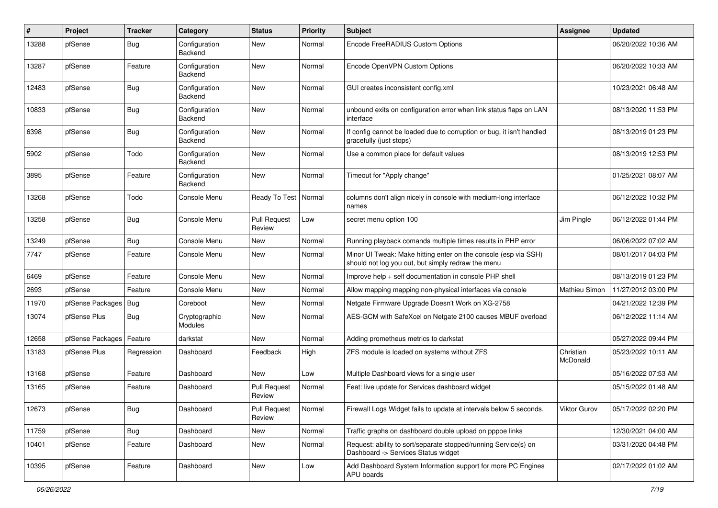| #     | Project          | <b>Tracker</b> | Category                        | <b>Status</b>                 | <b>Priority</b> | Subject                                                                                                               | Assignee              | <b>Updated</b>      |
|-------|------------------|----------------|---------------------------------|-------------------------------|-----------------|-----------------------------------------------------------------------------------------------------------------------|-----------------------|---------------------|
| 13288 | pfSense          | <b>Bug</b>     | Configuration<br>Backend        | <b>New</b>                    | Normal          | Encode FreeRADIUS Custom Options                                                                                      |                       | 06/20/2022 10:36 AM |
| 13287 | pfSense          | Feature        | Configuration<br><b>Backend</b> | <b>New</b>                    | Normal          | Encode OpenVPN Custom Options                                                                                         |                       | 06/20/2022 10:33 AM |
| 12483 | pfSense          | <b>Bug</b>     | Configuration<br><b>Backend</b> | <b>New</b>                    | Normal          | GUI creates inconsistent config.xml                                                                                   |                       | 10/23/2021 06:48 AM |
| 10833 | pfSense          | <b>Bug</b>     | Configuration<br>Backend        | <b>New</b>                    | Normal          | unbound exits on configuration error when link status flaps on LAN<br>interface                                       |                       | 08/13/2020 11:53 PM |
| 6398  | pfSense          | Bug            | Configuration<br>Backend        | <b>New</b>                    | Normal          | If config cannot be loaded due to corruption or bug, it isn't handled<br>gracefully (just stops)                      |                       | 08/13/2019 01:23 PM |
| 5902  | pfSense          | Todo           | Configuration<br>Backend        | <b>New</b>                    | Normal          | Use a common place for default values                                                                                 |                       | 08/13/2019 12:53 PM |
| 3895  | pfSense          | Feature        | Configuration<br>Backend        | <b>New</b>                    | Normal          | Timeout for "Apply change"                                                                                            |                       | 01/25/2021 08:07 AM |
| 13268 | pfSense          | Todo           | Console Menu                    | Ready To Test                 | Normal          | columns don't align nicely in console with medium-long interface<br>names                                             |                       | 06/12/2022 10:32 PM |
| 13258 | pfSense          | Bug            | Console Menu                    | <b>Pull Request</b><br>Review | Low             | secret menu option 100                                                                                                | Jim Pingle            | 06/12/2022 01:44 PM |
| 13249 | pfSense          | <b>Bug</b>     | Console Menu                    | <b>New</b>                    | Normal          | Running playback comands multiple times results in PHP error                                                          |                       | 06/06/2022 07:02 AM |
| 7747  | pfSense          | Feature        | Console Menu                    | <b>New</b>                    | Normal          | Minor UI Tweak: Make hitting enter on the console (esp via SSH)<br>should not log you out, but simply redraw the menu |                       | 08/01/2017 04:03 PM |
| 6469  | pfSense          | Feature        | Console Menu                    | <b>New</b>                    | Normal          | Improve help + self documentation in console PHP shell                                                                |                       | 08/13/2019 01:23 PM |
| 2693  | pfSense          | Feature        | Console Menu                    | <b>New</b>                    | Normal          | Allow mapping mapping non-physical interfaces via console                                                             | <b>Mathieu Simon</b>  | 11/27/2012 03:00 PM |
| 11970 | pfSense Packages | Bug            | Coreboot                        | <b>New</b>                    | Normal          | Netgate Firmware Upgrade Doesn't Work on XG-2758                                                                      |                       | 04/21/2022 12:39 PM |
| 13074 | pfSense Plus     | <b>Bug</b>     | Cryptographic<br>Modules        | <b>New</b>                    | Normal          | AES-GCM with SafeXcel on Netgate 2100 causes MBUF overload                                                            |                       | 06/12/2022 11:14 AM |
| 12658 | pfSense Packages | Feature        | darkstat                        | <b>New</b>                    | Normal          | Adding prometheus metrics to darkstat                                                                                 |                       | 05/27/2022 09:44 PM |
| 13183 | pfSense Plus     | Regression     | Dashboard                       | Feedback                      | High            | ZFS module is loaded on systems without ZFS                                                                           | Christian<br>McDonald | 05/23/2022 10:11 AM |
| 13168 | pfSense          | Feature        | Dashboard                       | <b>New</b>                    | Low             | Multiple Dashboard views for a single user                                                                            |                       | 05/16/2022 07:53 AM |
| 13165 | pfSense          | Feature        | Dashboard                       | <b>Pull Request</b><br>Review | Normal          | Feat: live update for Services dashboard widget                                                                       |                       | 05/15/2022 01:48 AM |
| 12673 | pfSense          | <b>Bug</b>     | Dashboard                       | <b>Pull Request</b><br>Review | Normal          | Firewall Logs Widget fails to update at intervals below 5 seconds.                                                    | Viktor Gurov          | 05/17/2022 02:20 PM |
| 11759 | pfSense          | Bug            | Dashboard                       | New                           | Normal          | Traffic graphs on dashboard double upload on pppoe links                                                              |                       | 12/30/2021 04:00 AM |
| 10401 | pfSense          | Feature        | Dashboard                       | New                           | Normal          | Request: ability to sort/separate stopped/running Service(s) on<br>Dashboard -> Services Status widget                |                       | 03/31/2020 04:48 PM |
| 10395 | pfSense          | Feature        | Dashboard                       | New                           | Low             | Add Dashboard System Information support for more PC Engines<br><b>APU</b> boards                                     |                       | 02/17/2022 01:02 AM |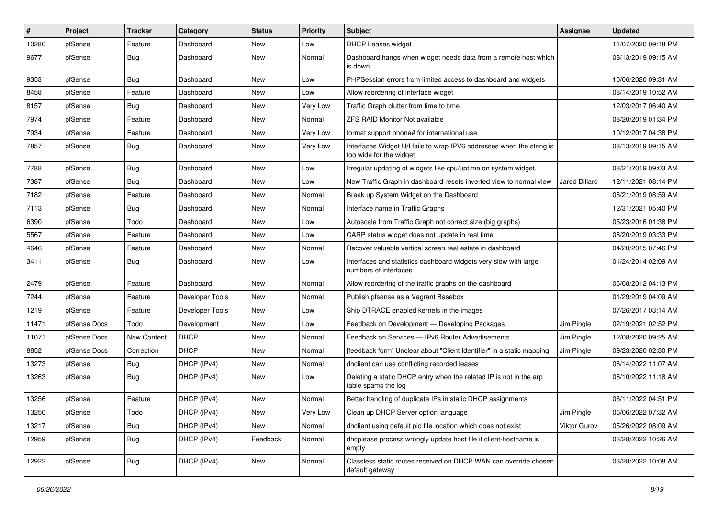| #     | Project      | <b>Tracker</b> | Category        | <b>Status</b> | <b>Priority</b> | <b>Subject</b>                                                                                   | <b>Assignee</b>      | <b>Updated</b>      |
|-------|--------------|----------------|-----------------|---------------|-----------------|--------------------------------------------------------------------------------------------------|----------------------|---------------------|
| 10280 | pfSense      | Feature        | Dashboard       | New           | Low             | <b>DHCP Leases widget</b>                                                                        |                      | 11/07/2020 09:18 PM |
| 9677  | pfSense      | <b>Bug</b>     | Dashboard       | <b>New</b>    | Normal          | Dashboard hangs when widget needs data from a remote host which<br>is down                       |                      | 08/13/2019 09:15 AM |
| 9353  | pfSense      | <b>Bug</b>     | Dashboard       | <b>New</b>    | Low             | PHPSession errors from limited access to dashboard and widgets                                   |                      | 10/06/2020 09:31 AM |
| 8458  | pfSense      | Feature        | Dashboard       | <b>New</b>    | Low             | Allow reordering of interface widget                                                             |                      | 08/14/2019 10:52 AM |
| 8157  | pfSense      | <b>Bug</b>     | Dashboard       | New           | Very Low        | Traffic Graph clutter from time to time                                                          |                      | 12/03/2017 06:40 AM |
| 7974  | pfSense      | Feature        | Dashboard       | New           | Normal          | <b>ZFS RAID Monitor Not available</b>                                                            |                      | 08/20/2019 01:34 PM |
| 7934  | pfSense      | Feature        | Dashboard       | New           | Very Low        | format support phone# for international use                                                      |                      | 10/12/2017 04:38 PM |
| 7857  | pfSense      | <b>Bug</b>     | Dashboard       | <b>New</b>    | Very Low        | Interfaces Widget U/I fails to wrap IPV6 addresses when the string is<br>too wide for the widget |                      | 08/13/2019 09:15 AM |
| 7788  | pfSense      | <b>Bug</b>     | Dashboard       | New           | Low             | Irregular updating of widgets like cpu/uptime on system widget.                                  |                      | 08/21/2019 09:03 AM |
| 7387  | pfSense      | <b>Bug</b>     | Dashboard       | New           | Low             | New Traffic Graph in dashboard resets inverted view to normal view                               | <b>Jared Dillard</b> | 12/11/2021 08:14 PM |
| 7182  | pfSense      | Feature        | Dashboard       | <b>New</b>    | Normal          | Break up System Widget on the Dashboard                                                          |                      | 08/21/2019 08:59 AM |
| 7113  | pfSense      | <b>Bug</b>     | Dashboard       | New           | Normal          | Interface name in Traffic Graphs                                                                 |                      | 12/31/2021 05:40 PM |
| 6390  | pfSense      | Todo           | Dashboard       | New           | Low             | Autoscale from Traffic Graph not correct size (big graphs)                                       |                      | 05/23/2016 01:38 PM |
| 5567  | pfSense      | Feature        | Dashboard       | New           | Low             | CARP status widget does not update in real time                                                  |                      | 08/20/2019 03:33 PM |
| 4646  | pfSense      | Feature        | Dashboard       | <b>New</b>    | Normal          | Recover valuable vertical screen real estate in dashboard                                        |                      | 04/20/2015 07:46 PM |
| 3411  | pfSense      | <b>Bug</b>     | Dashboard       | <b>New</b>    | Low             | Interfaces and statistics dashboard widgets very slow with large<br>numbers of interfaces        |                      | 01/24/2014 02:09 AM |
| 2479  | pfSense      | Feature        | Dashboard       | New           | Normal          | Allow reordering of the traffic graphs on the dashboard                                          |                      | 06/08/2012 04:13 PM |
| 7244  | pfSense      | Feature        | Developer Tools | New           | Normal          | Publish pfsense as a Vagrant Basebox                                                             |                      | 01/29/2019 04:09 AM |
| 1219  | pfSense      | Feature        | Developer Tools | New           | Low             | Ship DTRACE enabled kernels in the images                                                        |                      | 07/26/2017 03:14 AM |
| 11471 | pfSense Docs | Todo           | Development     | New           | Low             | Feedback on Development - Developing Packages                                                    | Jim Pingle           | 02/19/2021 02:52 PM |
| 11071 | pfSense Docs | New Content    | <b>DHCP</b>     | New           | Normal          | Feedback on Services - IPv6 Router Advertisements                                                | Jim Pingle           | 12/08/2020 09:25 AM |
| 8852  | pfSense Docs | Correction     | <b>DHCP</b>     | <b>New</b>    | Normal          | [feedback form] Unclear about "Client Identifier" in a static mapping                            | Jim Pingle           | 09/23/2020 02:30 PM |
| 13273 | pfSense      | <b>Bug</b>     | DHCP (IPv4)     | <b>New</b>    | Normal          | dhclient can use conflicting recorded leases                                                     |                      | 06/14/2022 11:07 AM |
| 13263 | pfSense      | <b>Bug</b>     | DHCP (IPv4)     | New           | Low             | Deleting a static DHCP entry when the related IP is not in the arp<br>table spams the log        |                      | 06/10/2022 11:18 AM |
| 13256 | pfSense      | Feature        | DHCP (IPv4)     | New           | Normal          | Better handling of duplicate IPs in static DHCP assignments                                      |                      | 06/11/2022 04:51 PM |
| 13250 | pfSense      | Todo           | DHCP (IPv4)     | New           | Very Low        | Clean up DHCP Server option language                                                             | Jim Pingle           | 06/06/2022 07:32 AM |
| 13217 | pfSense      | <b>Bug</b>     | DHCP (IPv4)     | New           | Normal          | dhclient using default pid file location which does not exist                                    | Viktor Gurov         | 05/26/2022 08:09 AM |
| 12959 | pfSense      | <b>Bug</b>     | DHCP (IPv4)     | Feedback      | Normal          | dhcplease process wrongly update host file if client-hostname is<br>empty                        |                      | 03/28/2022 10:26 AM |
| 12922 | pfSense      | Bug            | DHCP (IPv4)     | New           | Normal          | Classless static routes received on DHCP WAN can override chosen<br>default gateway              |                      | 03/28/2022 10:08 AM |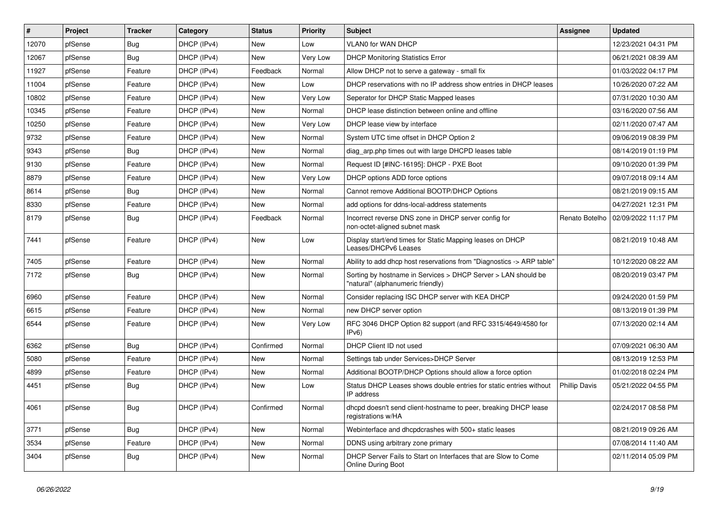| $\vert$ # | Project | <b>Tracker</b> | Category    | <b>Status</b> | <b>Priority</b> | Subject                                                                                            | <b>Assignee</b>      | <b>Updated</b>      |
|-----------|---------|----------------|-------------|---------------|-----------------|----------------------------------------------------------------------------------------------------|----------------------|---------------------|
| 12070     | pfSense | <b>Bug</b>     | DHCP (IPv4) | New           | Low             | VLAN0 for WAN DHCP                                                                                 |                      | 12/23/2021 04:31 PM |
| 12067     | pfSense | Bug            | DHCP (IPv4) | <b>New</b>    | Very Low        | <b>DHCP Monitoring Statistics Error</b>                                                            |                      | 06/21/2021 08:39 AM |
| 11927     | pfSense | Feature        | DHCP (IPv4) | Feedback      | Normal          | Allow DHCP not to serve a gateway - small fix                                                      |                      | 01/03/2022 04:17 PM |
| 11004     | pfSense | Feature        | DHCP (IPv4) | <b>New</b>    | Low             | DHCP reservations with no IP address show entries in DHCP leases                                   |                      | 10/26/2020 07:22 AM |
| 10802     | pfSense | Feature        | DHCP (IPv4) | <b>New</b>    | Very Low        | Seperator for DHCP Static Mapped leases                                                            |                      | 07/31/2020 10:30 AM |
| 10345     | pfSense | Feature        | DHCP (IPv4) | New           | Normal          | DHCP lease distinction between online and offline                                                  |                      | 03/16/2020 07:56 AM |
| 10250     | pfSense | Feature        | DHCP (IPv4) | New           | Very Low        | DHCP lease view by interface                                                                       |                      | 02/11/2020 07:47 AM |
| 9732      | pfSense | Feature        | DHCP (IPv4) | New           | Normal          | System UTC time offset in DHCP Option 2                                                            |                      | 09/06/2019 08:39 PM |
| 9343      | pfSense | Bug            | DHCP (IPv4) | New           | Normal          | diag_arp.php times out with large DHCPD leases table                                               |                      | 08/14/2019 01:19 PM |
| 9130      | pfSense | Feature        | DHCP (IPv4) | <b>New</b>    | Normal          | Request ID [#INC-16195]: DHCP - PXE Boot                                                           |                      | 09/10/2020 01:39 PM |
| 8879      | pfSense | Feature        | DHCP (IPv4) | New           | Very Low        | DHCP options ADD force options                                                                     |                      | 09/07/2018 09:14 AM |
| 8614      | pfSense | Bug            | DHCP (IPv4) | New           | Normal          | Cannot remove Additional BOOTP/DHCP Options                                                        |                      | 08/21/2019 09:15 AM |
| 8330      | pfSense | Feature        | DHCP (IPv4) | <b>New</b>    | Normal          | add options for ddns-local-address statements                                                      |                      | 04/27/2021 12:31 PM |
| 8179      | pfSense | Bug            | DHCP (IPv4) | Feedback      | Normal          | Incorrect reverse DNS zone in DHCP server config for<br>non-octet-aligned subnet mask              | Renato Botelho       | 02/09/2022 11:17 PM |
| 7441      | pfSense | Feature        | DHCP (IPv4) | <b>New</b>    | Low             | Display start/end times for Static Mapping leases on DHCP<br>Leases/DHCPv6 Leases                  |                      | 08/21/2019 10:48 AM |
| 7405      | pfSense | Feature        | DHCP (IPv4) | New           | Normal          | Ability to add dhcp host reservations from "Diagnostics -> ARP table"                              |                      | 10/12/2020 08:22 AM |
| 7172      | pfSense | Bug            | DHCP (IPv4) | New           | Normal          | Sorting by hostname in Services > DHCP Server > LAN should be<br>"natural" (alphanumeric friendly) |                      | 08/20/2019 03:47 PM |
| 6960      | pfSense | Feature        | DHCP (IPv4) | <b>New</b>    | Normal          | Consider replacing ISC DHCP server with KEA DHCP                                                   |                      | 09/24/2020 01:59 PM |
| 6615      | pfSense | Feature        | DHCP (IPv4) | New           | Normal          | new DHCP server option                                                                             |                      | 08/13/2019 01:39 PM |
| 6544      | pfSense | Feature        | DHCP (IPv4) | New           | Very Low        | RFC 3046 DHCP Option 82 support (and RFC 3315/4649/4580 for<br>IPv6                                |                      | 07/13/2020 02:14 AM |
| 6362      | pfSense | Bug            | DHCP (IPv4) | Confirmed     | Normal          | DHCP Client ID not used                                                                            |                      | 07/09/2021 06:30 AM |
| 5080      | pfSense | Feature        | DHCP (IPv4) | New           | Normal          | Settings tab under Services>DHCP Server                                                            |                      | 08/13/2019 12:53 PM |
| 4899      | pfSense | Feature        | DHCP (IPv4) | New           | Normal          | Additional BOOTP/DHCP Options should allow a force option                                          |                      | 01/02/2018 02:24 PM |
| 4451      | pfSense | <b>Bug</b>     | DHCP (IPv4) | New           | Low             | Status DHCP Leases shows double entries for static entries without<br>IP address                   | <b>Phillip Davis</b> | 05/21/2022 04:55 PM |
| 4061      | pfSense | Bug            | DHCP (IPv4) | Confirmed     | Normal          | dhcpd doesn't send client-hostname to peer, breaking DHCP lease<br>registrations w/HA              |                      | 02/24/2017 08:58 PM |
| 3771      | pfSense | <b>Bug</b>     | DHCP (IPv4) | New           | Normal          | Webinterface and dhcpdcrashes with 500+ static leases                                              |                      | 08/21/2019 09:26 AM |
| 3534      | pfSense | Feature        | DHCP (IPv4) | New           | Normal          | DDNS using arbitrary zone primary                                                                  |                      | 07/08/2014 11:40 AM |
| 3404      | pfSense | <b>Bug</b>     | DHCP (IPv4) | New           | Normal          | DHCP Server Fails to Start on Interfaces that are Slow to Come<br>Online During Boot               |                      | 02/11/2014 05:09 PM |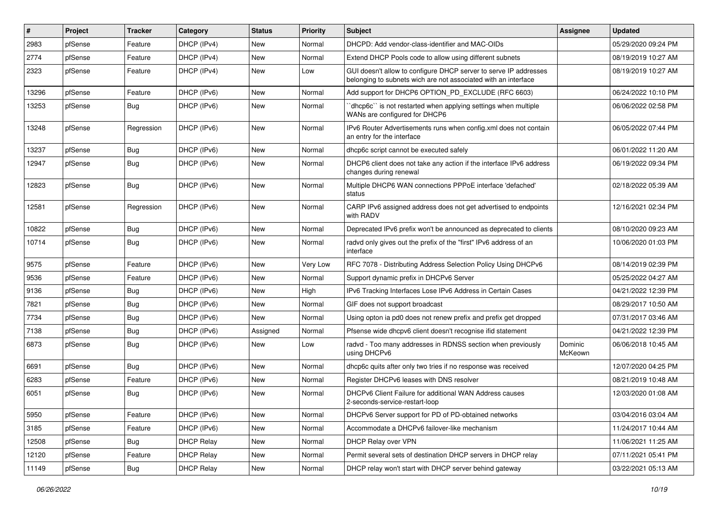| $\vert$ # | Project | <b>Tracker</b> | Category          | <b>Status</b> | <b>Priority</b> | Subject                                                                                                                            | <b>Assignee</b>    | <b>Updated</b>      |
|-----------|---------|----------------|-------------------|---------------|-----------------|------------------------------------------------------------------------------------------------------------------------------------|--------------------|---------------------|
| 2983      | pfSense | Feature        | DHCP (IPv4)       | New           | Normal          | DHCPD: Add vendor-class-identifier and MAC-OIDs                                                                                    |                    | 05/29/2020 09:24 PM |
| 2774      | pfSense | Feature        | DHCP (IPv4)       | <b>New</b>    | Normal          | Extend DHCP Pools code to allow using different subnets                                                                            |                    | 08/19/2019 10:27 AM |
| 2323      | pfSense | Feature        | DHCP (IPv4)       | New           | Low             | GUI doesn't allow to configure DHCP server to serve IP addresses<br>belonging to subnets wich are not associated with an interface |                    | 08/19/2019 10:27 AM |
| 13296     | pfSense | Feature        | DHCP (IPv6)       | <b>New</b>    | Normal          | Add support for DHCP6 OPTION_PD_EXCLUDE (RFC 6603)                                                                                 |                    | 06/24/2022 10:10 PM |
| 13253     | pfSense | Bug            | DHCP (IPv6)       | <b>New</b>    | Normal          | dhcp6c" is not restarted when applying settings when multiple<br>WANs are configured for DHCP6                                     |                    | 06/06/2022 02:58 PM |
| 13248     | pfSense | Regression     | DHCP (IPv6)       | <b>New</b>    | Normal          | IPv6 Router Advertisements runs when config.xml does not contain<br>an entry for the interface                                     |                    | 06/05/2022 07:44 PM |
| 13237     | pfSense | <b>Bug</b>     | DHCP (IPv6)       | <b>New</b>    | Normal          | dhcp6c script cannot be executed safely                                                                                            |                    | 06/01/2022 11:20 AM |
| 12947     | pfSense | <b>Bug</b>     | DHCP (IPv6)       | New           | Normal          | DHCP6 client does not take any action if the interface IPv6 address<br>changes during renewal                                      |                    | 06/19/2022 09:34 PM |
| 12823     | pfSense | Bug            | DHCP (IPv6)       | New           | Normal          | Multiple DHCP6 WAN connections PPPoE interface 'defached'<br>status                                                                |                    | 02/18/2022 05:39 AM |
| 12581     | pfSense | Regression     | DHCP (IPv6)       | <b>New</b>    | Normal          | CARP IPv6 assigned address does not get advertised to endpoints<br>with RADV                                                       |                    | 12/16/2021 02:34 PM |
| 10822     | pfSense | Bug            | DHCP (IPv6)       | <b>New</b>    | Normal          | Deprecated IPv6 prefix won't be announced as deprecated to clients                                                                 |                    | 08/10/2020 09:23 AM |
| 10714     | pfSense | Bug            | DHCP (IPv6)       | New           | Normal          | radvd only gives out the prefix of the "first" IPv6 address of an<br>interface                                                     |                    | 10/06/2020 01:03 PM |
| 9575      | pfSense | Feature        | DHCP (IPv6)       | <b>New</b>    | Very Low        | RFC 7078 - Distributing Address Selection Policy Using DHCPv6                                                                      |                    | 08/14/2019 02:39 PM |
| 9536      | pfSense | Feature        | DHCP (IPv6)       | <b>New</b>    | Normal          | Support dynamic prefix in DHCPv6 Server                                                                                            |                    | 05/25/2022 04:27 AM |
| 9136      | pfSense | <b>Bug</b>     | DHCP (IPv6)       | <b>New</b>    | High            | IPv6 Tracking Interfaces Lose IPv6 Address in Certain Cases                                                                        |                    | 04/21/2022 12:39 PM |
| 7821      | pfSense | Bug            | DHCP (IPv6)       | <b>New</b>    | Normal          | GIF does not support broadcast                                                                                                     |                    | 08/29/2017 10:50 AM |
| 7734      | pfSense | <b>Bug</b>     | DHCP (IPv6)       | <b>New</b>    | Normal          | Using opton ia pd0 does not renew prefix and prefix get dropped                                                                    |                    | 07/31/2017 03:46 AM |
| 7138      | pfSense | <b>Bug</b>     | DHCP (IPv6)       | Assigned      | Normal          | Pfsense wide dhcpv6 client doesn't recognise ifid statement                                                                        |                    | 04/21/2022 12:39 PM |
| 6873      | pfSense | Bug            | DHCP (IPv6)       | New           | Low             | radvd - Too many addresses in RDNSS section when previously<br>using DHCPv6                                                        | Dominic<br>McKeown | 06/06/2018 10:45 AM |
| 6691      | pfSense | Bug            | DHCP (IPv6)       | <b>New</b>    | Normal          | dhcp6c quits after only two tries if no response was received                                                                      |                    | 12/07/2020 04:25 PM |
| 6283      | pfSense | Feature        | DHCP (IPv6)       | <b>New</b>    | Normal          | Register DHCPv6 leases with DNS resolver                                                                                           |                    | 08/21/2019 10:48 AM |
| 6051      | pfSense | Bug            | DHCP (IPv6)       | <b>New</b>    | Normal          | DHCPv6 Client Failure for additional WAN Address causes<br>2-seconds-service-restart-loop                                          |                    | 12/03/2020 01:08 AM |
| 5950      | pfSense | Feature        | DHCP (IPv6)       | New           | Normal          | DHCPv6 Server support for PD of PD-obtained networks                                                                               |                    | 03/04/2016 03:04 AM |
| 3185      | pfSense | Feature        | DHCP (IPv6)       | New           | Normal          | Accommodate a DHCPv6 failover-like mechanism                                                                                       |                    | 11/24/2017 10:44 AM |
| 12508     | pfSense | <b>Bug</b>     | <b>DHCP Relay</b> | New           | Normal          | DHCP Relay over VPN                                                                                                                |                    | 11/06/2021 11:25 AM |
| 12120     | pfSense | Feature        | <b>DHCP Relay</b> | New           | Normal          | Permit several sets of destination DHCP servers in DHCP relay                                                                      |                    | 07/11/2021 05:41 PM |
| 11149     | pfSense | Bug            | <b>DHCP Relay</b> | New           | Normal          | DHCP relay won't start with DHCP server behind gateway                                                                             |                    | 03/22/2021 05:13 AM |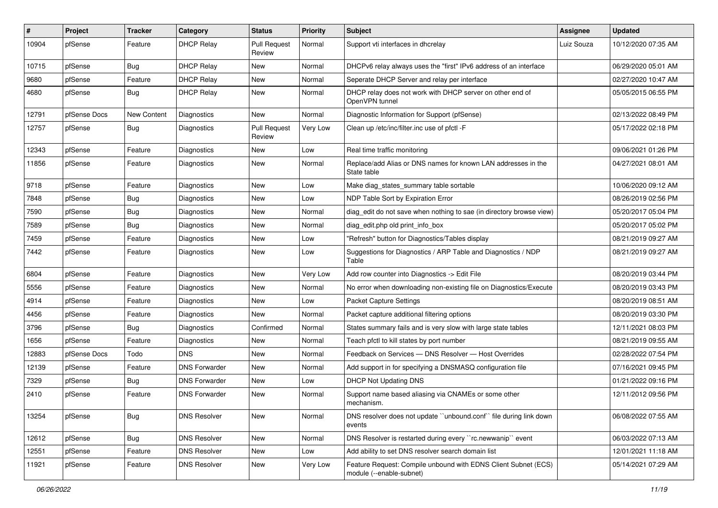| $\pmb{\#}$ | Project      | <b>Tracker</b> | Category             | <b>Status</b>                 | <b>Priority</b> | Subject                                                                                    | <b>Assignee</b> | <b>Updated</b>      |
|------------|--------------|----------------|----------------------|-------------------------------|-----------------|--------------------------------------------------------------------------------------------|-----------------|---------------------|
| 10904      | pfSense      | Feature        | <b>DHCP Relay</b>    | <b>Pull Request</b><br>Review | Normal          | Support vti interfaces in dhcrelay                                                         | Luiz Souza      | 10/12/2020 07:35 AM |
| 10715      | pfSense      | Bug            | <b>DHCP Relay</b>    | New                           | Normal          | DHCPv6 relay always uses the "first" IPv6 address of an interface                          |                 | 06/29/2020 05:01 AM |
| 9680       | pfSense      | Feature        | <b>DHCP Relay</b>    | New                           | Normal          | Seperate DHCP Server and relay per interface                                               |                 | 02/27/2020 10:47 AM |
| 4680       | pfSense      | Bug            | <b>DHCP Relay</b>    | New                           | Normal          | DHCP relay does not work with DHCP server on other end of<br>OpenVPN tunnel                |                 | 05/05/2015 06:55 PM |
| 12791      | pfSense Docs | New Content    | Diagnostics          | New                           | Normal          | Diagnostic Information for Support (pfSense)                                               |                 | 02/13/2022 08:49 PM |
| 12757      | pfSense      | Bug            | Diagnostics          | <b>Pull Request</b><br>Review | Very Low        | Clean up /etc/inc/filter.inc use of pfctl -F                                               |                 | 05/17/2022 02:18 PM |
| 12343      | pfSense      | Feature        | Diagnostics          | New                           | Low             | Real time traffic monitoring                                                               |                 | 09/06/2021 01:26 PM |
| 11856      | pfSense      | Feature        | Diagnostics          | New                           | Normal          | Replace/add Alias or DNS names for known LAN addresses in the<br>State table               |                 | 04/27/2021 08:01 AM |
| 9718       | pfSense      | Feature        | Diagnostics          | <b>New</b>                    | Low             | Make diag_states_summary table sortable                                                    |                 | 10/06/2020 09:12 AM |
| 7848       | pfSense      | <b>Bug</b>     | Diagnostics          | New                           | Low             | NDP Table Sort by Expiration Error                                                         |                 | 08/26/2019 02:56 PM |
| 7590       | pfSense      | <b>Bug</b>     | Diagnostics          | New                           | Normal          | diag edit do not save when nothing to sae (in directory browse view)                       |                 | 05/20/2017 05:04 PM |
| 7589       | pfSense      | <b>Bug</b>     | Diagnostics          | <b>New</b>                    | Normal          | diag_edit.php old print_info_box                                                           |                 | 05/20/2017 05:02 PM |
| 7459       | pfSense      | Feature        | Diagnostics          | <b>New</b>                    | Low             | "Refresh" button for Diagnostics/Tables display                                            |                 | 08/21/2019 09:27 AM |
| 7442       | pfSense      | Feature        | Diagnostics          | New                           | Low             | Suggestions for Diagnostics / ARP Table and Diagnostics / NDP<br>Table                     |                 | 08/21/2019 09:27 AM |
| 6804       | pfSense      | Feature        | Diagnostics          | <b>New</b>                    | Very Low        | Add row counter into Diagnostics -> Edit File                                              |                 | 08/20/2019 03:44 PM |
| 5556       | pfSense      | Feature        | Diagnostics          | New                           | Normal          | No error when downloading non-existing file on Diagnostics/Execute                         |                 | 08/20/2019 03:43 PM |
| 4914       | pfSense      | Feature        | Diagnostics          | New                           | Low             | Packet Capture Settings                                                                    |                 | 08/20/2019 08:51 AM |
| 4456       | pfSense      | Feature        | Diagnostics          | New                           | Normal          | Packet capture additional filtering options                                                |                 | 08/20/2019 03:30 PM |
| 3796       | pfSense      | <b>Bug</b>     | Diagnostics          | Confirmed                     | Normal          | States summary fails and is very slow with large state tables                              |                 | 12/11/2021 08:03 PM |
| 1656       | pfSense      | Feature        | Diagnostics          | <b>New</b>                    | Normal          | Teach pfctl to kill states by port number                                                  |                 | 08/21/2019 09:55 AM |
| 12883      | pfSense Docs | Todo           | <b>DNS</b>           | <b>New</b>                    | Normal          | Feedback on Services - DNS Resolver - Host Overrides                                       |                 | 02/28/2022 07:54 PM |
| 12139      | pfSense      | Feature        | <b>DNS Forwarder</b> | New                           | Normal          | Add support in for specifying a DNSMASQ configuration file                                 |                 | 07/16/2021 09:45 PM |
| 7329       | pfSense      | <b>Bug</b>     | <b>DNS Forwarder</b> | New                           | Low             | <b>DHCP Not Updating DNS</b>                                                               |                 | 01/21/2022 09:16 PM |
| 2410       | pfSense      | Feature        | <b>DNS Forwarder</b> | <b>New</b>                    | Normal          | Support name based aliasing via CNAMEs or some other<br>mechanism.                         |                 | 12/11/2012 09:56 PM |
| 13254      | pfSense      | Bug            | <b>DNS Resolver</b>  | New                           | Normal          | DNS resolver does not update "unbound.conf" file during link down<br>events                |                 | 06/08/2022 07:55 AM |
| 12612      | pfSense      | Bug            | <b>DNS Resolver</b>  | New                           | Normal          | DNS Resolver is restarted during every "rc.newwanip" event                                 |                 | 06/03/2022 07:13 AM |
| 12551      | pfSense      | Feature        | <b>DNS Resolver</b>  | New                           | Low             | Add ability to set DNS resolver search domain list                                         |                 | 12/01/2021 11:18 AM |
| 11921      | pfSense      | Feature        | <b>DNS Resolver</b>  | New                           | Very Low        | Feature Request: Compile unbound with EDNS Client Subnet (ECS)<br>module (--enable-subnet) |                 | 05/14/2021 07:29 AM |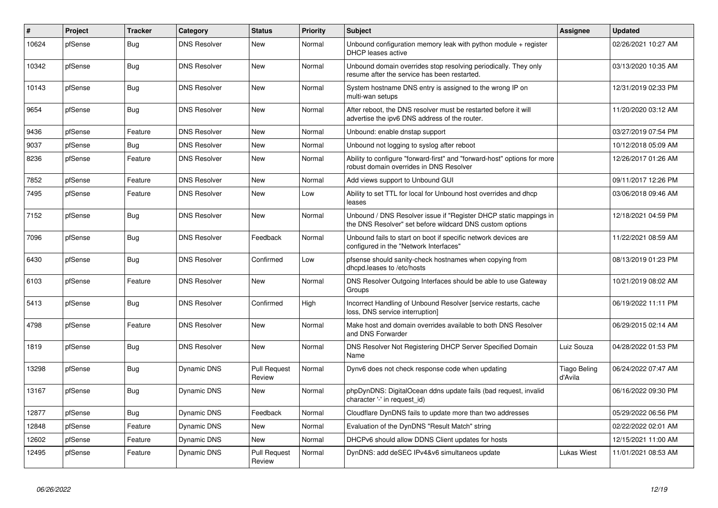| $\vert$ # | Project | <b>Tracker</b> | Category            | <b>Status</b>                 | Priority | <b>Subject</b>                                                                                                                | <b>Assignee</b>         | <b>Updated</b>      |
|-----------|---------|----------------|---------------------|-------------------------------|----------|-------------------------------------------------------------------------------------------------------------------------------|-------------------------|---------------------|
| 10624     | pfSense | Bug            | <b>DNS Resolver</b> | <b>New</b>                    | Normal   | Unbound configuration memory leak with python module $+$ register<br>DHCP leases active                                       |                         | 02/26/2021 10:27 AM |
| 10342     | pfSense | <b>Bug</b>     | <b>DNS Resolver</b> | <b>New</b>                    | Normal   | Unbound domain overrides stop resolving periodically. They only<br>resume after the service has been restarted.               |                         | 03/13/2020 10:35 AM |
| 10143     | pfSense | Bug            | <b>DNS Resolver</b> | <b>New</b>                    | Normal   | System hostname DNS entry is assigned to the wrong IP on<br>multi-wan setups                                                  |                         | 12/31/2019 02:33 PM |
| 9654      | pfSense | Bug            | <b>DNS Resolver</b> | <b>New</b>                    | Normal   | After reboot, the DNS resolver must be restarted before it will<br>advertise the ipv6 DNS address of the router.              |                         | 11/20/2020 03:12 AM |
| 9436      | pfSense | Feature        | <b>DNS Resolver</b> | <b>New</b>                    | Normal   | Unbound: enable dnstap support                                                                                                |                         | 03/27/2019 07:54 PM |
| 9037      | pfSense | Bug            | <b>DNS Resolver</b> | <b>New</b>                    | Normal   | Unbound not logging to syslog after reboot                                                                                    |                         | 10/12/2018 05:09 AM |
| 8236      | pfSense | Feature        | <b>DNS Resolver</b> | New                           | Normal   | Ability to configure "forward-first" and "forward-host" options for more<br>robust domain overrides in DNS Resolver           |                         | 12/26/2017 01:26 AM |
| 7852      | pfSense | Feature        | <b>DNS Resolver</b> | <b>New</b>                    | Normal   | Add views support to Unbound GUI                                                                                              |                         | 09/11/2017 12:26 PM |
| 7495      | pfSense | Feature        | <b>DNS Resolver</b> | <b>New</b>                    | Low      | Ability to set TTL for local for Unbound host overrides and dhcp<br>leases                                                    |                         | 03/06/2018 09:46 AM |
| 7152      | pfSense | <b>Bug</b>     | <b>DNS Resolver</b> | <b>New</b>                    | Normal   | Unbound / DNS Resolver issue if "Register DHCP static mappings in<br>the DNS Resolver" set before wildcard DNS custom options |                         | 12/18/2021 04:59 PM |
| 7096      | pfSense | Bug            | <b>DNS Resolver</b> | Feedback                      | Normal   | Unbound fails to start on boot if specific network devices are<br>configured in the "Network Interfaces"                      |                         | 11/22/2021 08:59 AM |
| 6430      | pfSense | <b>Bug</b>     | <b>DNS Resolver</b> | Confirmed                     | Low      | pfsense should sanity-check hostnames when copying from<br>dhcpd.leases to /etc/hosts                                         |                         | 08/13/2019 01:23 PM |
| 6103      | pfSense | Feature        | <b>DNS Resolver</b> | <b>New</b>                    | Normal   | DNS Resolver Outgoing Interfaces should be able to use Gateway<br>Groups                                                      |                         | 10/21/2019 08:02 AM |
| 5413      | pfSense | Bug            | <b>DNS Resolver</b> | Confirmed                     | High     | Incorrect Handling of Unbound Resolver [service restarts, cache<br>loss, DNS service interruption]                            |                         | 06/19/2022 11:11 PM |
| 4798      | pfSense | Feature        | <b>DNS Resolver</b> | <b>New</b>                    | Normal   | Make host and domain overrides available to both DNS Resolver<br>and DNS Forwarder                                            |                         | 06/29/2015 02:14 AM |
| 1819      | pfSense | Bug            | <b>DNS Resolver</b> | New                           | Normal   | DNS Resolver Not Registering DHCP Server Specified Domain<br>Name                                                             | Luiz Souza              | 04/28/2022 01:53 PM |
| 13298     | pfSense | Bug            | <b>Dynamic DNS</b>  | <b>Pull Request</b><br>Review | Normal   | Dynv6 does not check response code when updating                                                                              | Tiago Beling<br>d'Avila | 06/24/2022 07:47 AM |
| 13167     | pfSense | <b>Bug</b>     | <b>Dynamic DNS</b>  | <b>New</b>                    | Normal   | phpDynDNS: DigitalOcean ddns update fails (bad request, invalid<br>character '-' in request id)                               |                         | 06/16/2022 09:30 PM |
| 12877     | pfSense | Bug            | Dynamic DNS         | Feedback                      | Normal   | Cloudflare DynDNS fails to update more than two addresses                                                                     |                         | 05/29/2022 06:56 PM |
| 12848     | pfSense | Feature        | Dynamic DNS         | <b>New</b>                    | Normal   | Evaluation of the DynDNS "Result Match" string                                                                                |                         | 02/22/2022 02:01 AM |
| 12602     | pfSense | Feature        | Dynamic DNS         | New                           | Normal   | DHCPv6 should allow DDNS Client updates for hosts                                                                             |                         | 12/15/2021 11:00 AM |
| 12495     | pfSense | Feature        | Dynamic DNS         | <b>Pull Request</b><br>Review | Normal   | DynDNS: add deSEC IPv4&v6 simultaneos update                                                                                  | Lukas Wiest             | 11/01/2021 08:53 AM |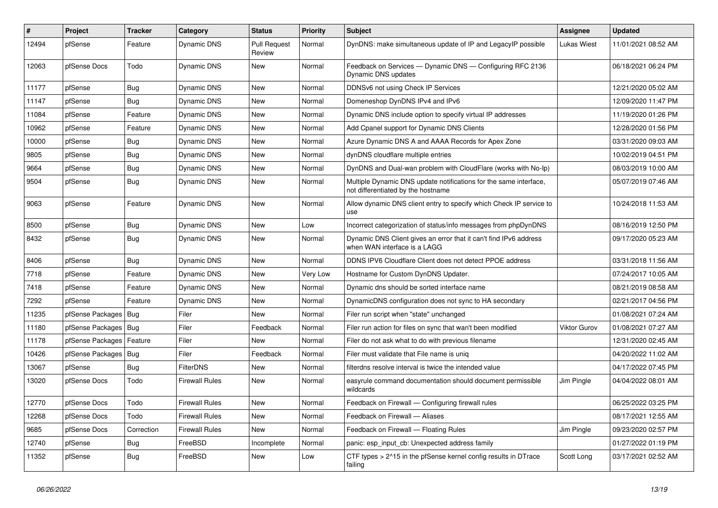| $\overline{\boldsymbol{H}}$ | Project                | <b>Tracker</b> | Category              | <b>Status</b>                 | <b>Priority</b> | <b>Subject</b>                                                                                          | Assignee            | <b>Updated</b>      |
|-----------------------------|------------------------|----------------|-----------------------|-------------------------------|-----------------|---------------------------------------------------------------------------------------------------------|---------------------|---------------------|
| 12494                       | pfSense                | Feature        | Dynamic DNS           | <b>Pull Request</b><br>Review | Normal          | DynDNS: make simultaneous update of IP and LegacyIP possible                                            | Lukas Wiest         | 11/01/2021 08:52 AM |
| 12063                       | pfSense Docs           | Todo           | <b>Dynamic DNS</b>    | New                           | Normal          | Feedback on Services — Dynamic DNS — Configuring RFC 2136<br>Dynamic DNS updates                        |                     | 06/18/2021 06:24 PM |
| 11177                       | pfSense                | <b>Bug</b>     | Dynamic DNS           | <b>New</b>                    | Normal          | DDNSv6 not using Check IP Services                                                                      |                     | 12/21/2020 05:02 AM |
| 11147                       | pfSense                | Bug            | Dynamic DNS           | New                           | Normal          | Domeneshop DynDNS IPv4 and IPv6                                                                         |                     | 12/09/2020 11:47 PM |
| 11084                       | pfSense                | Feature        | <b>Dynamic DNS</b>    | New                           | Normal          | Dynamic DNS include option to specify virtual IP addresses                                              |                     | 11/19/2020 01:26 PM |
| 10962                       | pfSense                | Feature        | Dynamic DNS           | <b>New</b>                    | Normal          | Add Cpanel support for Dynamic DNS Clients                                                              |                     | 12/28/2020 01:56 PM |
| 10000                       | pfSense                | <b>Bug</b>     | Dynamic DNS           | New                           | Normal          | Azure Dynamic DNS A and AAAA Records for Apex Zone                                                      |                     | 03/31/2020 09:03 AM |
| 9805                        | pfSense                | Bug            | Dynamic DNS           | New                           | Normal          | dynDNS cloudflare multiple entries                                                                      |                     | 10/02/2019 04:51 PM |
| 9664                        | pfSense                | Bug            | <b>Dynamic DNS</b>    | New                           | Normal          | DynDNS and Dual-wan problem with CloudFlare (works with No-Ip)                                          |                     | 08/03/2019 10:00 AM |
| 9504                        | pfSense                | Bug            | Dynamic DNS           | <b>New</b>                    | Normal          | Multiple Dynamic DNS update notifications for the same interface,<br>not differentiated by the hostname |                     | 05/07/2019 07:46 AM |
| 9063                        | pfSense                | Feature        | Dynamic DNS           | <b>New</b>                    | Normal          | Allow dynamic DNS client entry to specify which Check IP service to<br>use                              |                     | 10/24/2018 11:53 AM |
| 8500                        | pfSense                | Bug            | Dynamic DNS           | <b>New</b>                    | Low             | Incorrect categorization of status/info messages from phpDynDNS                                         |                     | 08/16/2019 12:50 PM |
| 8432                        | pfSense                | <b>Bug</b>     | Dynamic DNS           | New                           | Normal          | Dynamic DNS Client gives an error that it can't find IPv6 address<br>when WAN interface is a LAGG       |                     | 09/17/2020 05:23 AM |
| 8406                        | pfSense                | <b>Bug</b>     | Dynamic DNS           | <b>New</b>                    | Normal          | DDNS IPV6 Cloudflare Client does not detect PPOE address                                                |                     | 03/31/2018 11:56 AM |
| 7718                        | pfSense                | Feature        | Dynamic DNS           | New                           | Very Low        | Hostname for Custom DynDNS Updater.                                                                     |                     | 07/24/2017 10:05 AM |
| 7418                        | pfSense                | Feature        | Dynamic DNS           | New                           | Normal          | Dynamic dns should be sorted interface name                                                             |                     | 08/21/2019 08:58 AM |
| 7292                        | pfSense                | Feature        | <b>Dynamic DNS</b>    | <b>New</b>                    | Normal          | DynamicDNS configuration does not sync to HA secondary                                                  |                     | 02/21/2017 04:56 PM |
| 11235                       | pfSense Packages       | <b>Bug</b>     | Filer                 | New                           | Normal          | Filer run script when "state" unchanged                                                                 |                     | 01/08/2021 07:24 AM |
| 11180                       | pfSense Packages   Bug |                | Filer                 | Feedback                      | Normal          | Filer run action for files on sync that wan't been modified                                             | <b>Viktor Gurov</b> | 01/08/2021 07:27 AM |
| 11178                       | pfSense Packages       | Feature        | Filer                 | New                           | Normal          | Filer do not ask what to do with previous filename                                                      |                     | 12/31/2020 02:45 AM |
| 10426                       | pfSense Packages       | <b>Bug</b>     | Filer                 | Feedback                      | Normal          | Filer must validate that File name is uniq                                                              |                     | 04/20/2022 11:02 AM |
| 13067                       | pfSense                | Bug            | <b>FilterDNS</b>      | New                           | Normal          | filterdns resolve interval is twice the intended value                                                  |                     | 04/17/2022 07:45 PM |
| 13020                       | pfSense Docs           | Todo           | Firewall Rules        | New                           | Normal          | easyrule command documentation should document permissible<br>wildcards                                 | Jim Pingle          | 04/04/2022 08:01 AM |
| 12770                       | pfSense Docs           | Todo           | <b>Firewall Rules</b> | <b>New</b>                    | Normal          | Feedback on Firewall - Configuring firewall rules                                                       |                     | 06/25/2022 03:25 PM |
| 12268                       | pfSense Docs           | Todo           | <b>Firewall Rules</b> | <b>New</b>                    | Normal          | Feedback on Firewall - Aliases                                                                          |                     | 08/17/2021 12:55 AM |
| 9685                        | pfSense Docs           | Correction     | <b>Firewall Rules</b> | <b>New</b>                    | Normal          | Feedback on Firewall - Floating Rules                                                                   | Jim Pingle          | 09/23/2020 02:57 PM |
| 12740                       | pfSense                | Bug            | FreeBSD               | Incomplete                    | Normal          | panic: esp input cb: Unexpected address family                                                          |                     | 01/27/2022 01:19 PM |
| 11352                       | pfSense                | Bug            | FreeBSD               | <b>New</b>                    | Low             | CTF types > 2^15 in the pfSense kernel config results in DTrace<br>failing                              | Scott Long          | 03/17/2021 02:52 AM |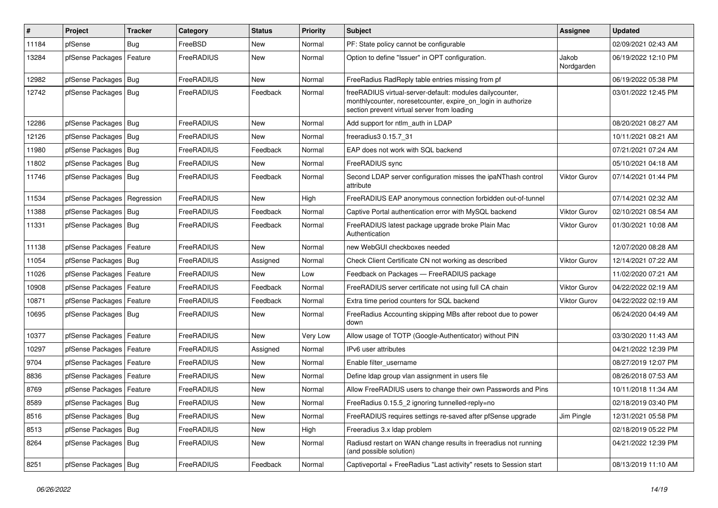| #     | Project                    | Tracker    | Category   | <b>Status</b> | <b>Priority</b> | Subject                                                                                                                                                                 | Assignee            | <b>Updated</b>      |
|-------|----------------------------|------------|------------|---------------|-----------------|-------------------------------------------------------------------------------------------------------------------------------------------------------------------------|---------------------|---------------------|
| 11184 | pfSense                    | <b>Bug</b> | FreeBSD    | New           | Normal          | PF: State policy cannot be configurable                                                                                                                                 |                     | 02/09/2021 02:43 AM |
| 13284 | pfSense Packages           | Feature    | FreeRADIUS | New           | Normal          | Option to define "Issuer" in OPT configuration.                                                                                                                         | Jakob<br>Nordgarden | 06/19/2022 12:10 PM |
| 12982 | pfSense Packages   Bug     |            | FreeRADIUS | New           | Normal          | FreeRadius RadReply table entries missing from pf                                                                                                                       |                     | 06/19/2022 05:38 PM |
| 12742 | pfSense Packages   Bug     |            | FreeRADIUS | Feedback      | Normal          | freeRADIUS virtual-server-default: modules dailycounter,<br>monthlycounter, noresetcounter, expire_on_login in authorize<br>section prevent virtual server from loading |                     | 03/01/2022 12:45 PM |
| 12286 | pfSense Packages   Bug     |            | FreeRADIUS | <b>New</b>    | Normal          | Add support for ntlm auth in LDAP                                                                                                                                       |                     | 08/20/2021 08:27 AM |
| 12126 | pfSense Packages   Bug     |            | FreeRADIUS | New           | Normal          | freeradius3 0.15.7 31                                                                                                                                                   |                     | 10/11/2021 08:21 AM |
| 11980 | pfSense Packages   Bug     |            | FreeRADIUS | Feedback      | Normal          | EAP does not work with SQL backend                                                                                                                                      |                     | 07/21/2021 07:24 AM |
| 11802 | pfSense Packages   Bug     |            | FreeRADIUS | New           | Normal          | FreeRADIUS sync                                                                                                                                                         |                     | 05/10/2021 04:18 AM |
| 11746 | pfSense Packages   Bug     |            | FreeRADIUS | Feedback      | Normal          | Second LDAP server configuration misses the ipaNThash control<br>attribute                                                                                              | <b>Viktor Gurov</b> | 07/14/2021 01:44 PM |
| 11534 | pfSense Packages           | Regression | FreeRADIUS | <b>New</b>    | High            | FreeRADIUS EAP anonymous connection forbidden out-of-tunnel                                                                                                             |                     | 07/14/2021 02:32 AM |
| 11388 | pfSense Packages   Bug     |            | FreeRADIUS | Feedback      | Normal          | Captive Portal authentication error with MySQL backend                                                                                                                  | Viktor Gurov        | 02/10/2021 08:54 AM |
| 11331 | pfSense Packages   Bug     |            | FreeRADIUS | Feedback      | Normal          | FreeRADIUS latest package upgrade broke Plain Mac<br>Authentication                                                                                                     | <b>Viktor Gurov</b> | 01/30/2021 10:08 AM |
| 11138 | pfSense Packages           | Feature    | FreeRADIUS | <b>New</b>    | Normal          | new WebGUI checkboxes needed                                                                                                                                            |                     | 12/07/2020 08:28 AM |
| 11054 | pfSense Packages   Bug     |            | FreeRADIUS | Assigned      | Normal          | Check Client Certificate CN not working as described                                                                                                                    | Viktor Gurov        | 12/14/2021 07:22 AM |
| 11026 | pfSense Packages   Feature |            | FreeRADIUS | New           | Low             | Feedback on Packages - FreeRADIUS package                                                                                                                               |                     | 11/02/2020 07:21 AM |
| 10908 | pfSense Packages           | Feature    | FreeRADIUS | Feedback      | Normal          | FreeRADIUS server certificate not using full CA chain                                                                                                                   | Viktor Gurov        | 04/22/2022 02:19 AM |
| 10871 | pfSense Packages           | Feature    | FreeRADIUS | Feedback      | Normal          | Extra time period counters for SQL backend                                                                                                                              | Viktor Gurov        | 04/22/2022 02:19 AM |
| 10695 | pfSense Packages   Bug     |            | FreeRADIUS | New           | Normal          | FreeRadius Accounting skipping MBs after reboot due to power<br>down                                                                                                    |                     | 06/24/2020 04:49 AM |
| 10377 | pfSense Packages   Feature |            | FreeRADIUS | <b>New</b>    | <b>Very Low</b> | Allow usage of TOTP (Google-Authenticator) without PIN                                                                                                                  |                     | 03/30/2020 11:43 AM |
| 10297 | pfSense Packages           | Feature    | FreeRADIUS | Assigned      | Normal          | IPv6 user attributes                                                                                                                                                    |                     | 04/21/2022 12:39 PM |
| 9704  | pfSense Packages           | Feature    | FreeRADIUS | New           | Normal          | Enable filter username                                                                                                                                                  |                     | 08/27/2019 12:07 PM |
| 8836  | pfSense Packages   Feature |            | FreeRADIUS | New           | Normal          | Define Idap group vlan assignment in users file                                                                                                                         |                     | 08/26/2018 07:53 AM |
| 8769  | pfSense Packages           | Feature    | FreeRADIUS | <b>New</b>    | Normal          | Allow FreeRADIUS users to change their own Passwords and Pins                                                                                                           |                     | 10/11/2018 11:34 AM |
| 8589  | pfSense Packages   Bug     |            | FreeRADIUS | New           | Normal          | FreeRadius 0.15.5 2 ignoring tunnelled-reply=no                                                                                                                         |                     | 02/18/2019 03:40 PM |
| 8516  | pfSense Packages   Bug     |            | FreeRADIUS | New           | Normal          | FreeRADIUS requires settings re-saved after pfSense upgrade                                                                                                             | Jim Pingle          | 12/31/2021 05:58 PM |
| 8513  | pfSense Packages   Bug     |            | FreeRADIUS | New           | High            | Freeradius 3.x Idap problem                                                                                                                                             |                     | 02/18/2019 05:22 PM |
| 8264  | pfSense Packages   Bug     |            | FreeRADIUS | New           | Normal          | Radiusd restart on WAN change results in freeradius not running<br>(and possible solution)                                                                              |                     | 04/21/2022 12:39 PM |
| 8251  | pfSense Packages   Bug     |            | FreeRADIUS | Feedback      | Normal          | Captiveportal + FreeRadius "Last activity" resets to Session start                                                                                                      |                     | 08/13/2019 11:10 AM |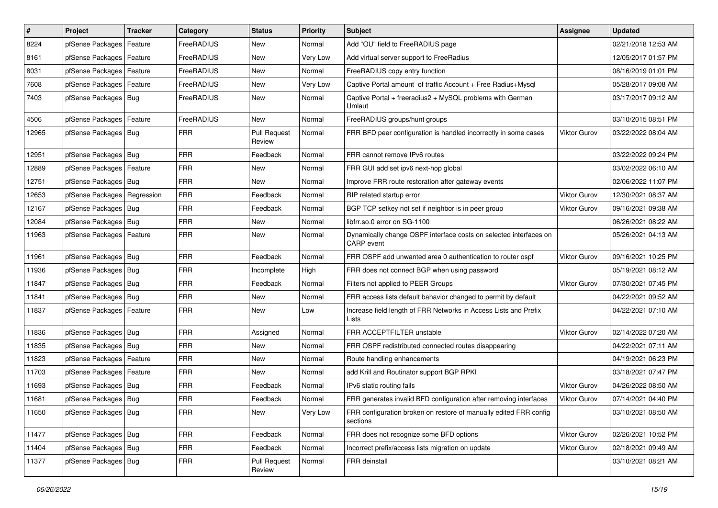| $\vert$ # | Project                       | <b>Tracker</b> | Category   | <b>Status</b>                 | <b>Priority</b> | Subject                                                                                | Assignee            | <b>Updated</b>      |
|-----------|-------------------------------|----------------|------------|-------------------------------|-----------------|----------------------------------------------------------------------------------------|---------------------|---------------------|
| 8224      | pfSense Packages              | Feature        | FreeRADIUS | New                           | Normal          | Add "OU" field to FreeRADIUS page                                                      |                     | 02/21/2018 12:53 AM |
| 8161      | pfSense Packages   Feature    |                | FreeRADIUS | New                           | Very Low        | Add virtual server support to FreeRadius                                               |                     | 12/05/2017 01:57 PM |
| 8031      | pfSense Packages   Feature    |                | FreeRADIUS | New                           | Normal          | FreeRADIUS copy entry function                                                         |                     | 08/16/2019 01:01 PM |
| 7608      | pfSense Packages   Feature    |                | FreeRADIUS | New                           | Very Low        | Captive Portal amount of traffic Account + Free Radius+Mysql                           |                     | 05/28/2017 09:08 AM |
| 7403      | pfSense Packages   Bug        |                | FreeRADIUS | New                           | Normal          | Captive Portal + freeradius2 + MySQL problems with German<br>Umlaut                    |                     | 03/17/2017 09:12 AM |
| 4506      | pfSense Packages   Feature    |                | FreeRADIUS | New                           | Normal          | FreeRADIUS groups/hunt groups                                                          |                     | 03/10/2015 08:51 PM |
| 12965     | pfSense Packages   Bug        |                | <b>FRR</b> | <b>Pull Request</b><br>Review | Normal          | FRR BFD peer configuration is handled incorrectly in some cases                        | <b>Viktor Gurov</b> | 03/22/2022 08:04 AM |
| 12951     | pfSense Packages   Bug        |                | <b>FRR</b> | Feedback                      | Normal          | FRR cannot remove IPv6 routes                                                          |                     | 03/22/2022 09:24 PM |
| 12889     | pfSense Packages              | Feature        | <b>FRR</b> | New                           | Normal          | FRR GUI add set ipv6 next-hop global                                                   |                     | 03/02/2022 06:10 AM |
| 12751     | pfSense Packages   Bug        |                | <b>FRR</b> | New                           | Normal          | Improve FRR route restoration after gateway events                                     |                     | 02/06/2022 11:07 PM |
| 12653     | pfSense Packages   Regression |                | <b>FRR</b> | Feedback                      | Normal          | RIP related startup error                                                              | Viktor Gurov        | 12/30/2021 08:37 AM |
| 12167     | pfSense Packages   Bug        |                | <b>FRR</b> | Feedback                      | Normal          | BGP TCP setkey not set if neighbor is in peer group                                    | <b>Viktor Gurov</b> | 09/16/2021 09:38 AM |
| 12084     | pfSense Packages   Bug        |                | <b>FRR</b> | New                           | Normal          | libfrr.so.0 error on SG-1100                                                           |                     | 06/26/2021 08:22 AM |
| 11963     | pfSense Packages   Feature    |                | <b>FRR</b> | New                           | Normal          | Dynamically change OSPF interface costs on selected interfaces on<br><b>CARP</b> event |                     | 05/26/2021 04:13 AM |
| 11961     | pfSense Packages   Bug        |                | <b>FRR</b> | Feedback                      | Normal          | FRR OSPF add unwanted area 0 authentication to router ospf                             | <b>Viktor Gurov</b> | 09/16/2021 10:25 PM |
| 11936     | pfSense Packages   Bug        |                | <b>FRR</b> | Incomplete                    | High            | FRR does not connect BGP when using password                                           |                     | 05/19/2021 08:12 AM |
| 11847     | pfSense Packages   Bug        |                | <b>FRR</b> | Feedback                      | Normal          | Filters not applied to PEER Groups                                                     | Viktor Gurov        | 07/30/2021 07:45 PM |
| 11841     | pfSense Packages              | Bug            | <b>FRR</b> | <b>New</b>                    | Normal          | FRR access lists default bahavior changed to permit by default                         |                     | 04/22/2021 09:52 AM |
| 11837     | pfSense Packages              | Feature        | <b>FRR</b> | New                           | Low             | Increase field length of FRR Networks in Access Lists and Prefix<br>Lists              |                     | 04/22/2021 07:10 AM |
| 11836     | pfSense Packages   Bug        |                | <b>FRR</b> | Assigned                      | Normal          | FRR ACCEPTFILTER unstable                                                              | <b>Viktor Gurov</b> | 02/14/2022 07:20 AM |
| 11835     | pfSense Packages   Bug        |                | <b>FRR</b> | New                           | Normal          | FRR OSPF redistributed connected routes disappearing                                   |                     | 04/22/2021 07:11 AM |
| 11823     | pfSense Packages   Feature    |                | <b>FRR</b> | <b>New</b>                    | Normal          | Route handling enhancements                                                            |                     | 04/19/2021 06:23 PM |
| 11703     | pfSense Packages              | Feature        | <b>FRR</b> | New                           | Normal          | add Krill and Routinator support BGP RPKI                                              |                     | 03/18/2021 07:47 PM |
| 11693     | pfSense Packages   Bug        |                | <b>FRR</b> | Feedback                      | Normal          | IPv6 static routing fails                                                              | <b>Viktor Gurov</b> | 04/26/2022 08:50 AM |
| 11681     | pfSense Packages   Bug        |                | <b>FRR</b> | Feedback                      | Normal          | FRR generates invalid BFD configuration after removing interfaces                      | <b>Viktor Gurov</b> | 07/14/2021 04:40 PM |
| 11650     | pfSense Packages   Bug        |                | <b>FRR</b> | New                           | Very Low        | FRR configuration broken on restore of manually edited FRR config<br>sections          |                     | 03/10/2021 08:50 AM |
| 11477     | pfSense Packages   Bug        |                | <b>FRR</b> | Feedback                      | Normal          | FRR does not recognize some BFD options                                                | Viktor Gurov        | 02/26/2021 10:52 PM |
| 11404     | pfSense Packages   Bug        |                | <b>FRR</b> | Feedback                      | Normal          | Incorrect prefix/access lists migration on update                                      | Viktor Gurov        | 02/18/2021 09:49 AM |
| 11377     | pfSense Packages   Bug        |                | <b>FRR</b> | <b>Pull Request</b><br>Review | Normal          | FRR deinstall                                                                          |                     | 03/10/2021 08:21 AM |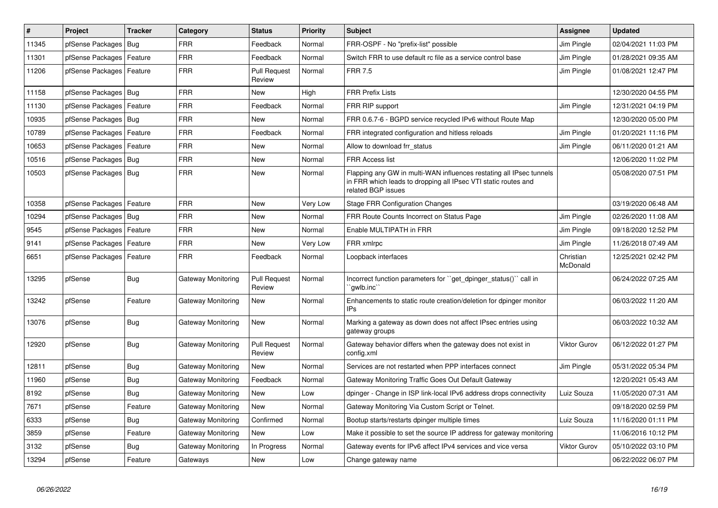| #     | <b>Project</b>             | <b>Tracker</b> | Category           | <b>Status</b>                 | <b>Priority</b> | <b>Subject</b>                                                                                                                                              | <b>Assignee</b>       | <b>Updated</b>      |
|-------|----------------------------|----------------|--------------------|-------------------------------|-----------------|-------------------------------------------------------------------------------------------------------------------------------------------------------------|-----------------------|---------------------|
| 11345 | pfSense Packages           | <b>Bug</b>     | <b>FRR</b>         | Feedback                      | Normal          | FRR-OSPF - No "prefix-list" possible                                                                                                                        | Jim Pingle            | 02/04/2021 11:03 PM |
| 11301 | pfSense Packages           | Feature        | <b>FRR</b>         | Feedback                      | Normal          | Switch FRR to use default rc file as a service control base                                                                                                 | Jim Pingle            | 01/28/2021 09:35 AM |
| 11206 | pfSense Packages           | Feature        | <b>FRR</b>         | <b>Pull Request</b><br>Review | Normal          | <b>FRR 7.5</b>                                                                                                                                              | Jim Pingle            | 01/08/2021 12:47 PM |
| 11158 | pfSense Packages           | Bug            | <b>FRR</b>         | <b>New</b>                    | High            | <b>FRR Prefix Lists</b>                                                                                                                                     |                       | 12/30/2020 04:55 PM |
| 11130 | pfSense Packages           | Feature        | <b>FRR</b>         | Feedback                      | Normal          | FRR RIP support                                                                                                                                             | Jim Pingle            | 12/31/2021 04:19 PM |
| 10935 | pfSense Packages           | Bug            | <b>FRR</b>         | <b>New</b>                    | Normal          | FRR 0.6.7-6 - BGPD service recycled IPv6 without Route Map                                                                                                  |                       | 12/30/2020 05:00 PM |
| 10789 | pfSense Packages           | Feature        | <b>FRR</b>         | Feedback                      | Normal          | FRR integrated configuration and hitless reloads                                                                                                            | Jim Pingle            | 01/20/2021 11:16 PM |
| 10653 | pfSense Packages           | Feature        | <b>FRR</b>         | <b>New</b>                    | Normal          | Allow to download frr status                                                                                                                                | Jim Pingle            | 06/11/2020 01:21 AM |
| 10516 | pfSense Packages           | Bug            | <b>FRR</b>         | <b>New</b>                    | Normal          | <b>FRR Access list</b>                                                                                                                                      |                       | 12/06/2020 11:02 PM |
| 10503 | pfSense Packages           | Bug            | <b>FRR</b>         | <b>New</b>                    | Normal          | Flapping any GW in multi-WAN influences restating all IPsec tunnels<br>in FRR which leads to dropping all IPsec VTI static routes and<br>related BGP issues |                       | 05/08/2020 07:51 PM |
| 10358 | pfSense Packages           | Feature        | <b>FRR</b>         | <b>New</b>                    | Very Low        | <b>Stage FRR Configuration Changes</b>                                                                                                                      |                       | 03/19/2020 06:48 AM |
| 10294 | pfSense Packages           | Bug            | <b>FRR</b>         | <b>New</b>                    | Normal          | FRR Route Counts Incorrect on Status Page                                                                                                                   | Jim Pingle            | 02/26/2020 11:08 AM |
| 9545  | pfSense Packages   Feature |                | <b>FRR</b>         | <b>New</b>                    | Normal          | Enable MULTIPATH in FRR                                                                                                                                     | Jim Pingle            | 09/18/2020 12:52 PM |
| 9141  | pfSense Packages           | Feature        | FRR                | <b>New</b>                    | Very Low        | FRR xmlrpc                                                                                                                                                  | Jim Pingle            | 11/26/2018 07:49 AM |
| 6651  | pfSense Packages           | Feature        | <b>FRR</b>         | Feedback                      | Normal          | Loopback interfaces                                                                                                                                         | Christian<br>McDonald | 12/25/2021 02:42 PM |
| 13295 | pfSense                    | <b>Bug</b>     | Gateway Monitoring | <b>Pull Request</b><br>Review | Normal          | Incorrect function parameters for ``get_dpinger_status()`` call in<br>`awlb.inc`                                                                            |                       | 06/24/2022 07:25 AM |
| 13242 | pfSense                    | Feature        | Gateway Monitoring | <b>New</b>                    | Normal          | Enhancements to static route creation/deletion for dpinger monitor<br><b>IPs</b>                                                                            |                       | 06/03/2022 11:20 AM |
| 13076 | pfSense                    | Bug            | Gateway Monitoring | New                           | Normal          | Marking a gateway as down does not affect IPsec entries using<br>gateway groups                                                                             |                       | 06/03/2022 10:32 AM |
| 12920 | pfSense                    | <b>Bug</b>     | Gateway Monitoring | <b>Pull Request</b><br>Review | Normal          | Gateway behavior differs when the gateway does not exist in<br>config.xml                                                                                   | <b>Viktor Gurov</b>   | 06/12/2022 01:27 PM |
| 12811 | pfSense                    | <b>Bug</b>     | Gateway Monitoring | <b>New</b>                    | Normal          | Services are not restarted when PPP interfaces connect                                                                                                      | Jim Pingle            | 05/31/2022 05:34 PM |
| 11960 | pfSense                    | <b>Bug</b>     | Gateway Monitoring | Feedback                      | Normal          | Gateway Monitoring Traffic Goes Out Default Gateway                                                                                                         |                       | 12/20/2021 05:43 AM |
| 8192  | pfSense                    | <b>Bug</b>     | Gateway Monitoring | <b>New</b>                    | Low             | dpinger - Change in ISP link-local IPv6 address drops connectivity                                                                                          | Luiz Souza            | 11/05/2020 07:31 AM |
| 7671  | pfSense                    | Feature        | Gateway Monitoring | <b>New</b>                    | Normal          | Gateway Monitoring Via Custom Script or Telnet.                                                                                                             |                       | 09/18/2020 02:59 PM |
| 6333  | pfSense                    | <b>Bug</b>     | Gateway Monitoring | Confirmed                     | Normal          | Bootup starts/restarts dpinger multiple times                                                                                                               | Luiz Souza            | 11/16/2020 01:11 PM |
| 3859  | pfSense                    | Feature        | Gateway Monitoring | <b>New</b>                    | Low             | Make it possible to set the source IP address for gateway monitoring                                                                                        |                       | 11/06/2016 10:12 PM |
| 3132  | pfSense                    | Bug            | Gateway Monitoring | In Progress                   | Normal          | Gateway events for IPv6 affect IPv4 services and vice versa                                                                                                 | <b>Viktor Gurov</b>   | 05/10/2022 03:10 PM |
| 13294 | pfSense                    | Feature        | Gateways           | <b>New</b>                    | Low             | Change gateway name                                                                                                                                         |                       | 06/22/2022 06:07 PM |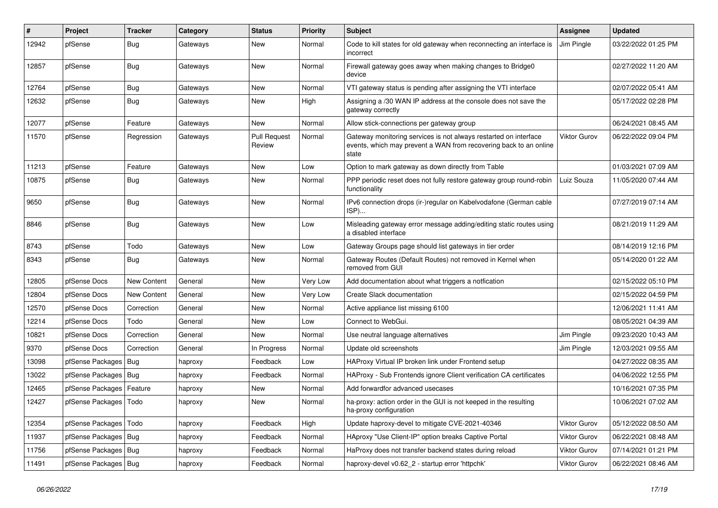| $\sharp$ | Project                | <b>Tracker</b>     | Category | <b>Status</b>                 | Priority | <b>Subject</b>                                                                                                                                 | Assignee            | <b>Updated</b>      |
|----------|------------------------|--------------------|----------|-------------------------------|----------|------------------------------------------------------------------------------------------------------------------------------------------------|---------------------|---------------------|
| 12942    | pfSense                | <b>Bug</b>         | Gateways | <b>New</b>                    | Normal   | Code to kill states for old gateway when reconnecting an interface is<br>incorrect                                                             | Jim Pingle          | 03/22/2022 01:25 PM |
| 12857    | pfSense                | Bug                | Gateways | <b>New</b>                    | Normal   | Firewall gateway goes away when making changes to Bridge0<br>device                                                                            |                     | 02/27/2022 11:20 AM |
| 12764    | pfSense                | Bug                | Gateways | <b>New</b>                    | Normal   | VTI gateway status is pending after assigning the VTI interface                                                                                |                     | 02/07/2022 05:41 AM |
| 12632    | pfSense                | Bug                | Gateways | New                           | High     | Assigning a /30 WAN IP address at the console does not save the<br>gateway correctly                                                           |                     | 05/17/2022 02:28 PM |
| 12077    | pfSense                | Feature            | Gateways | <b>New</b>                    | Normal   | Allow stick-connections per gateway group                                                                                                      |                     | 06/24/2021 08:45 AM |
| 11570    | pfSense                | Regression         | Gateways | <b>Pull Request</b><br>Review | Normal   | Gateway monitoring services is not always restarted on interface<br>events, which may prevent a WAN from recovering back to an online<br>state | Viktor Gurov        | 06/22/2022 09:04 PM |
| 11213    | pfSense                | Feature            | Gateways | <b>New</b>                    | Low      | Option to mark gateway as down directly from Table                                                                                             |                     | 01/03/2021 07:09 AM |
| 10875    | pfSense                | Bug                | Gateways | <b>New</b>                    | Normal   | PPP periodic reset does not fully restore gateway group round-robin<br>functionality                                                           | Luiz Souza          | 11/05/2020 07:44 AM |
| 9650     | pfSense                | <b>Bug</b>         | Gateways | <b>New</b>                    | Normal   | IPv6 connection drops (ir-)regular on Kabelvodafone (German cable<br>ISP)                                                                      |                     | 07/27/2019 07:14 AM |
| 8846     | pfSense                | <b>Bug</b>         | Gateways | New                           | Low      | Misleading gateway error message adding/editing static routes using<br>a disabled interface                                                    |                     | 08/21/2019 11:29 AM |
| 8743     | pfSense                | Todo               | Gateways | <b>New</b>                    | Low      | Gateway Groups page should list gateways in tier order                                                                                         |                     | 08/14/2019 12:16 PM |
| 8343     | pfSense                | <b>Bug</b>         | Gateways | <b>New</b>                    | Normal   | Gateway Routes (Default Routes) not removed in Kernel when<br>removed from GUI                                                                 |                     | 05/14/2020 01:22 AM |
| 12805    | pfSense Docs           | <b>New Content</b> | General  | <b>New</b>                    | Very Low | Add documentation about what triggers a notfication                                                                                            |                     | 02/15/2022 05:10 PM |
| 12804    | pfSense Docs           | New Content        | General  | <b>New</b>                    | Very Low | Create Slack documentation                                                                                                                     |                     | 02/15/2022 04:59 PM |
| 12570    | pfSense Docs           | Correction         | General  | <b>New</b>                    | Normal   | Active appliance list missing 6100                                                                                                             |                     | 12/06/2021 11:41 AM |
| 12214    | pfSense Docs           | Todo               | General  | New                           | Low      | Connect to WebGui.                                                                                                                             |                     | 08/05/2021 04:39 AM |
| 10821    | pfSense Docs           | Correction         | General  | <b>New</b>                    | Normal   | Use neutral language alternatives                                                                                                              | Jim Pingle          | 09/23/2020 10:43 AM |
| 9370     | pfSense Docs           | Correction         | General  | In Progress                   | Normal   | Update old screenshots                                                                                                                         | Jim Pingle          | 12/03/2021 09:55 AM |
| 13098    | pfSense Packages       | Bug                | haproxy  | Feedback                      | Low      | HAProxy Virtual IP broken link under Frontend setup                                                                                            |                     | 04/27/2022 08:35 AM |
| 13022    | pfSense Packages   Bug |                    | haproxy  | Feedback                      | Normal   | HAProxy - Sub Frontends ignore Client verification CA certificates                                                                             |                     | 04/06/2022 12:55 PM |
| 12465    | pfSense Packages       | Feature            | haproxy  | <b>New</b>                    | Normal   | Add forwardfor advanced usecases                                                                                                               |                     | 10/16/2021 07:35 PM |
| 12427    | pfSense Packages       | Todo               | haproxy  | <b>New</b>                    | Normal   | ha-proxy: action order in the GUI is not keeped in the resulting<br>ha-proxy configuration                                                     |                     | 10/06/2021 07:02 AM |
| 12354    | pfSense Packages       | Todo               | haproxy  | Feedback                      | High     | Update haproxy-devel to mitigate CVE-2021-40346                                                                                                | Viktor Gurov        | 05/12/2022 08:50 AM |
| 11937    | pfSense Packages       | Bug                | haproxy  | Feedback                      | Normal   | HAproxy "Use Client-IP" option breaks Captive Portal                                                                                           | <b>Viktor Gurov</b> | 06/22/2021 08:48 AM |
| 11756    | pfSense Packages       | Bug                | haproxy  | Feedback                      | Normal   | HaProxy does not transfer backend states during reload                                                                                         | <b>Viktor Gurov</b> | 07/14/2021 01:21 PM |
| 11491    | pfSense Packages   Bug |                    | haproxy  | Feedback                      | Normal   | haproxy-devel v0.62 2 - startup error 'httpchk'                                                                                                | Viktor Gurov        | 06/22/2021 08:46 AM |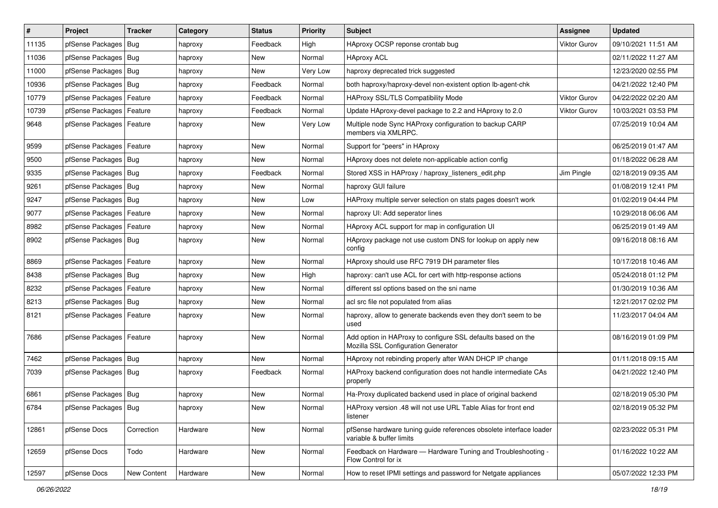| $\vert$ # | Project                    | <b>Tracker</b> | Category | <b>Status</b> | <b>Priority</b> | Subject                                                                                             | Assignee            | <b>Updated</b>      |
|-----------|----------------------------|----------------|----------|---------------|-----------------|-----------------------------------------------------------------------------------------------------|---------------------|---------------------|
| 11135     | pfSense Packages           | Bug            | haproxy  | Feedback      | High            | HAproxy OCSP reponse crontab bug                                                                    | <b>Viktor Gurov</b> | 09/10/2021 11:51 AM |
| 11036     | pfSense Packages   Bug     |                | haproxy  | New           | Normal          | <b>HAproxy ACL</b>                                                                                  |                     | 02/11/2022 11:27 AM |
| 11000     | pfSense Packages   Bug     |                | haproxy  | New           | Very Low        | haproxy deprecated trick suggested                                                                  |                     | 12/23/2020 02:55 PM |
| 10936     | pfSense Packages   Bug     |                | haproxy  | Feedback      | Normal          | both haproxy/haproxy-devel non-existent option lb-agent-chk                                         |                     | 04/21/2022 12:40 PM |
| 10779     | pfSense Packages           | Feature        | haproxy  | Feedback      | Normal          | HAProxy SSL/TLS Compatibility Mode                                                                  | Viktor Gurov        | 04/22/2022 02:20 AM |
| 10739     | pfSense Packages           | Feature        | haproxy  | Feedback      | Normal          | Update HAproxy-devel package to 2.2 and HAproxy to 2.0                                              | <b>Viktor Gurov</b> | 10/03/2021 03:53 PM |
| 9648      | pfSense Packages   Feature |                | haproxy  | New           | Very Low        | Multiple node Sync HAProxy configuration to backup CARP<br>members via XMLRPC.                      |                     | 07/25/2019 10:04 AM |
| 9599      | pfSense Packages   Feature |                | haproxy  | New           | Normal          | Support for "peers" in HAproxy                                                                      |                     | 06/25/2019 01:47 AM |
| 9500      | pfSense Packages   Bug     |                | haproxy  | <b>New</b>    | Normal          | HAproxy does not delete non-applicable action config                                                |                     | 01/18/2022 06:28 AM |
| 9335      | pfSense Packages   Bug     |                | haproxy  | Feedback      | Normal          | Stored XSS in HAProxy / haproxy listeners edit.php                                                  | Jim Pingle          | 02/18/2019 09:35 AM |
| 9261      | pfSense Packages   Bug     |                | haproxy  | New           | Normal          | haproxy GUI failure                                                                                 |                     | 01/08/2019 12:41 PM |
| 9247      | pfSense Packages           | Bug            | haproxy  | New           | Low             | HAProxy multiple server selection on stats pages doesn't work                                       |                     | 01/02/2019 04:44 PM |
| 9077      | pfSense Packages           | Feature        | haproxy  | New           | Normal          | haproxy UI: Add seperator lines                                                                     |                     | 10/29/2018 06:06 AM |
| 8982      | pfSense Packages           | Feature        | haproxy  | New           | Normal          | HAproxy ACL support for map in configuration UI                                                     |                     | 06/25/2019 01:49 AM |
| 8902      | pfSense Packages   Bug     |                | haproxy  | New           | Normal          | HAproxy package not use custom DNS for lookup on apply new<br>config                                |                     | 09/16/2018 08:16 AM |
| 8869      | pfSense Packages           | Feature        | haproxy  | <b>New</b>    | Normal          | HAproxy should use RFC 7919 DH parameter files                                                      |                     | 10/17/2018 10:46 AM |
| 8438      | pfSense Packages   Bug     |                | haproxy  | New           | High            | haproxy: can't use ACL for cert with http-response actions                                          |                     | 05/24/2018 01:12 PM |
| 8232      | pfSense Packages   Feature |                | haproxy  | New           | Normal          | different ssl options based on the sni name                                                         |                     | 01/30/2019 10:36 AM |
| 8213      | pfSense Packages           | Bug            | haproxy  | <b>New</b>    | Normal          | acl src file not populated from alias                                                               |                     | 12/21/2017 02:02 PM |
| 8121      | pfSense Packages   Feature |                | haproxy  | New           | Normal          | haproxy, allow to generate backends even they don't seem to be<br>used                              |                     | 11/23/2017 04:04 AM |
| 7686      | pfSense Packages   Feature |                | haproxy  | New           | Normal          | Add option in HAProxy to configure SSL defaults based on the<br>Mozilla SSL Configuration Generator |                     | 08/16/2019 01:09 PM |
| 7462      | pfSense Packages   Bug     |                | haproxy  | <b>New</b>    | Normal          | HAproxy not rebinding properly after WAN DHCP IP change                                             |                     | 01/11/2018 09:15 AM |
| 7039      | pfSense Packages   Bug     |                | haproxy  | Feedback      | Normal          | HAProxy backend configuration does not handle intermediate CAs<br>properly                          |                     | 04/21/2022 12:40 PM |
| 6861      | pfSense Packages   Bug     |                | haproxy  | <b>New</b>    | Normal          | Ha-Proxy duplicated backend used in place of original backend                                       |                     | 02/18/2019 05:30 PM |
| 6784      | pfSense Packages   Bug     |                | haproxy  | New           | Normal          | HAProxy version .48 will not use URL Table Alias for front end<br>listener                          |                     | 02/18/2019 05:32 PM |
| 12861     | pfSense Docs               | Correction     | Hardware | New           | Normal          | pfSense hardware tuning guide references obsolete interface loader<br>variable & buffer limits      |                     | 02/23/2022 05:31 PM |
| 12659     | pfSense Docs               | Todo           | Hardware | New           | Normal          | Feedback on Hardware - Hardware Tuning and Troubleshooting -<br>Flow Control for ix                 |                     | 01/16/2022 10:22 AM |
| 12597     | pfSense Docs               | New Content    | Hardware | New           | Normal          | How to reset IPMI settings and password for Netgate appliances                                      |                     | 05/07/2022 12:33 PM |